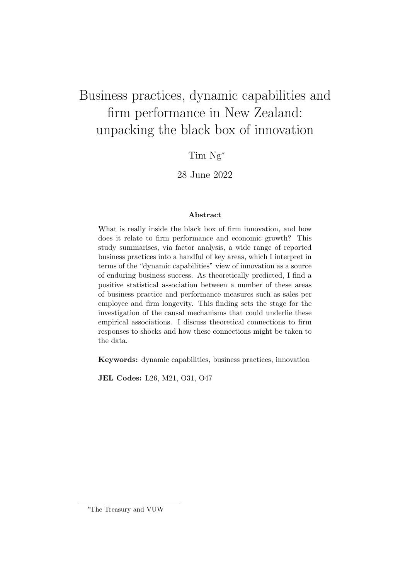# Business practices, dynamic capabilities and firm performance in New Zealand: unpacking the black box of innovation

Tim Ng<sup>∗</sup>

28 June 2022

#### Abstract

What is really inside the black box of firm innovation, and how does it relate to firm performance and economic growth? This study summarises, via factor analysis, a wide range of reported business practices into a handful of key areas, which I interpret in terms of the "dynamic capabilities" view of innovation as a source of enduring business success. As theoretically predicted, I find a positive statistical association between a number of these areas of business practice and performance measures such as sales per employee and firm longevity. This finding sets the stage for the investigation of the causal mechanisms that could underlie these empirical associations. I discuss theoretical connections to firm responses to shocks and how these connections might be taken to the data.

Keywords: dynamic capabilities, business practices, innovation

JEL Codes: L26, M21, O31, O47

<sup>∗</sup>The Treasury and VUW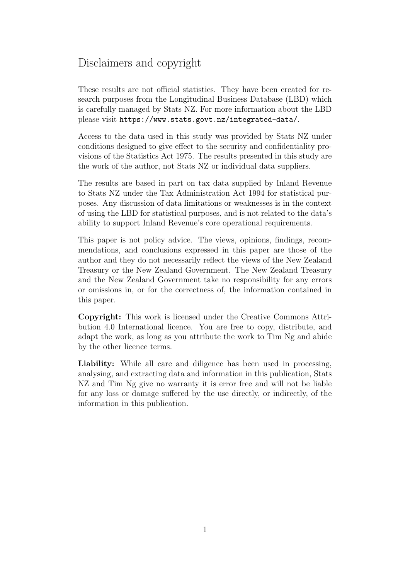# Disclaimers and copyright

These results are not official statistics. They have been created for research purposes from the Longitudinal Business Database (LBD) which is carefully managed by Stats NZ. For more information about the LBD please visit https://www.stats.govt.nz/integrated-data/.

Access to the data used in this study was provided by Stats NZ under conditions designed to give effect to the security and confidentiality provisions of the Statistics Act 1975. The results presented in this study are the work of the author, not Stats NZ or individual data suppliers.

The results are based in part on tax data supplied by Inland Revenue to Stats NZ under the Tax Administration Act 1994 for statistical purposes. Any discussion of data limitations or weaknesses is in the context of using the LBD for statistical purposes, and is not related to the data's ability to support Inland Revenue's core operational requirements.

This paper is not policy advice. The views, opinions, findings, recommendations, and conclusions expressed in this paper are those of the author and they do not necessarily reflect the views of the New Zealand Treasury or the New Zealand Government. The New Zealand Treasury and the New Zealand Government take no responsibility for any errors or omissions in, or for the correctness of, the information contained in this paper.

Copyright: This work is licensed under the Creative Commons Attribution 4.0 International licence. You are free to copy, distribute, and adapt the work, as long as you attribute the work to Tim Ng and abide by the other licence terms.

Liability: While all care and diligence has been used in processing, analysing, and extracting data and information in this publication, Stats NZ and Tim Ng give no warranty it is error free and will not be liable for any loss or damage suffered by the use directly, or indirectly, of the information in this publication.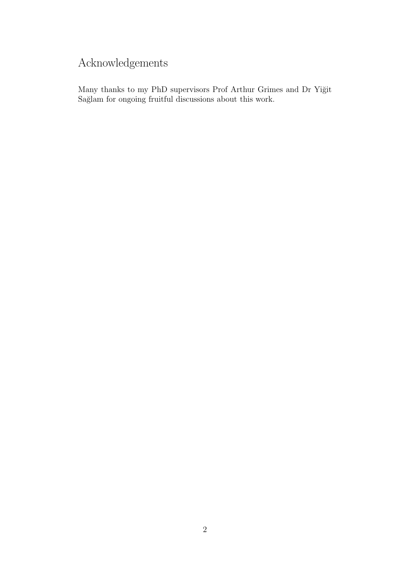# Acknowledgements

Many thanks to my PhD supervisors Prof Arthur Grimes and Dr Yiğit Sağlam for ongoing fruitful discussions about this work.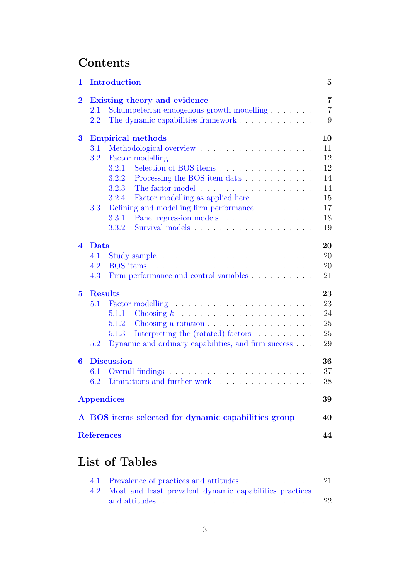# **Contents**

| 1                       |                                           | <b>Introduction</b>                                                | $\mathbf{5}$   |  |  |  |
|-------------------------|-------------------------------------------|--------------------------------------------------------------------|----------------|--|--|--|
| $\overline{\mathbf{2}}$ |                                           | Existing theory and evidence                                       | $\overline{7}$ |  |  |  |
|                         | 2.1                                       | Schumpeterian endogenous growth modelling                          | $\overline{7}$ |  |  |  |
|                         | The dynamic capabilities framework<br>2.2 |                                                                    |                |  |  |  |
| $\bf{3}$                |                                           | <b>Empirical methods</b>                                           | 10             |  |  |  |
|                         | 3.1                                       |                                                                    | 11             |  |  |  |
|                         | 3.2                                       |                                                                    | 12             |  |  |  |
|                         |                                           | Selection of BOS items<br>3.2.1                                    | 12             |  |  |  |
|                         |                                           | 3.2.2<br>Processing the BOS item data                              | 14             |  |  |  |
|                         |                                           | 3.2.3                                                              | 14             |  |  |  |
|                         |                                           | Factor modelling as applied here<br>3.2.4                          | 15             |  |  |  |
|                         | 3.3                                       | Defining and modelling firm performance                            | 17             |  |  |  |
|                         |                                           | Panel regression models<br>3.3.1                                   | 18             |  |  |  |
|                         |                                           | 3.3.2                                                              | 19             |  |  |  |
| $\overline{\mathbf{4}}$ | Data                                      |                                                                    |                |  |  |  |
|                         | 4.1                                       |                                                                    | 20             |  |  |  |
|                         | 4.2                                       |                                                                    | 20             |  |  |  |
|                         | 4.3                                       | Firm performance and control variables                             | 21             |  |  |  |
| $\bf{5}$                | <b>Results</b>                            |                                                                    |                |  |  |  |
|                         | 5.1                                       |                                                                    | 23             |  |  |  |
|                         |                                           | 5.1.1                                                              | 24             |  |  |  |
|                         |                                           | Choosing a rotation<br>5.1.2                                       | 25             |  |  |  |
|                         |                                           | Interpreting the (rotated) factors $\ldots \ldots \ldots$<br>5.1.3 | 25             |  |  |  |
|                         | 5.2                                       | Dynamic and ordinary capabilities, and firm success                | 29             |  |  |  |
| 6                       |                                           | <b>Discussion</b>                                                  | 36             |  |  |  |
|                         | 6.1                                       |                                                                    | 37             |  |  |  |
|                         | 6.2                                       | Limitations and further work $\ldots \ldots \ldots \ldots \ldots$  | 38             |  |  |  |
|                         |                                           | <b>Appendices</b>                                                  | 39             |  |  |  |
|                         |                                           | A BOS items selected for dynamic capabilities group                | 40             |  |  |  |
|                         | <b>References</b>                         |                                                                    | 44             |  |  |  |

# List of Tables

| 4.1 Prevalence of practices and attitudes 21                            |     |
|-------------------------------------------------------------------------|-----|
| 4.2 Most and least prevalent dynamic capabilities practices             |     |
| and attitudes $\ldots \ldots \ldots \ldots \ldots \ldots \ldots \ldots$ | -22 |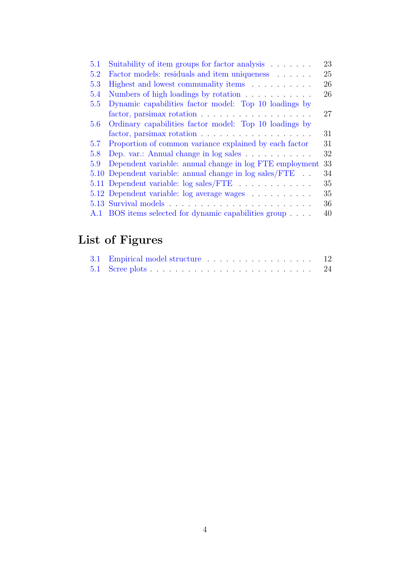| 5.1     | Suitability of item groups for factor analysis          | 23 |
|---------|---------------------------------------------------------|----|
| 5.2     | Factor models: residuals and item uniqueness            | 25 |
| 5.3     | Highest and lowest communality items                    | 26 |
| 5.4     | Numbers of high loadings by rotation                    | 26 |
| 5.5     | Dynamic capabilities factor model: Top 10 loadings by   |    |
|         |                                                         | 27 |
| $5.6\,$ | Ordinary capabilities factor model: Top 10 loadings by  |    |
|         |                                                         | 31 |
| 5.7     | Proportion of common variance explained by each factor  | 31 |
| 5.8     | Dep. var.: Annual change in log sales                   | 32 |
| 5.9     | Dependent variable: annual change in log FTE employment | 33 |
|         | 5.10 Dependent variable: annual change in log sales/FTE | 34 |
|         | 5.11 Dependent variable: log sales/FTE                  | 35 |
|         | 5.12 Dependent variable: log average wages              | 35 |
|         |                                                         | 36 |
| A.1     | BOS items selected for dynamic capabilities group       | 40 |
|         |                                                         |    |

# List of Figures

| 3.1 Empirical model structure 12 |  |
|----------------------------------|--|
|                                  |  |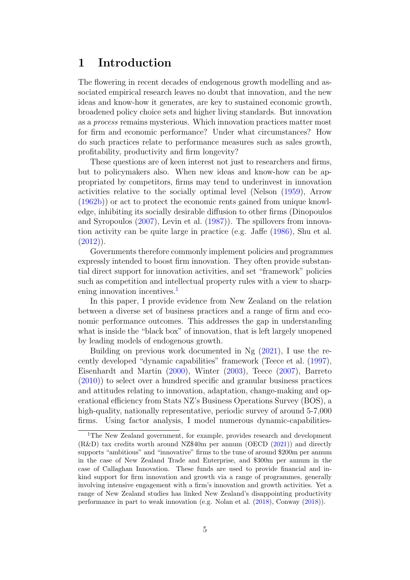# <span id="page-5-0"></span>1 Introduction

The flowering in recent decades of endogenous growth modelling and associated empirical research leaves no doubt that innovation, and the new ideas and know-how it generates, are key to sustained economic growth, broadened policy choice sets and higher living standards. But innovation as a process remains mysterious. Which innovation practices matter most for firm and economic performance? Under what circumstances? How do such practices relate to performance measures such as sales growth, profitability, productivity and firm longevity?

These questions are of keen interest not just to researchers and firms, but to policymakers also. When new ideas and know-how can be appropriated by competitors, firms may tend to underinvest in innovation activities relative to the socially optimal level (Nelson [\(1959\)](#page-45-0), Arrow [\(1962b\)](#page-44-1)) or act to protect the economic rents gained from unique knowledge, inhibiting its socially desirable diffusion to other firms (Dinopoulos and Syropoulos [\(2007\)](#page-44-2), Levin et al. [\(1987\)](#page-45-1)). The spillovers from innovation activity can be quite large in practice (e.g. Jaffe [\(1986\)](#page-45-2), Shu et al.  $(2012)$ ).

Governments therefore commonly implement policies and programmes expressly intended to boost firm innovation. They often provide substantial direct support for innovation activities, and set "framework" policies such as competition and intellectual property rules with a view to sharp-ening innovation incentives.<sup>[1](#page-5-1)</sup>

In this paper, I provide evidence from New Zealand on the relation between a diverse set of business practices and a range of firm and economic performance outcomes. This addresses the gap in understanding what is inside the "black box" of innovation, that is left largely unopened by leading models of endogenous growth.

Building on previous work documented in Ng [\(2021\)](#page-45-3), I use the recently developed "dynamic capabilities" framework (Teece et al. [\(1997\)](#page-46-1), Eisenhardt and Martin [\(2000\)](#page-44-3), Winter [\(2003\)](#page-46-2), Teece [\(2007\)](#page-46-3), Barreto [\(2010\)](#page-44-4)) to select over a hundred specific and granular business practices and attitudes relating to innovation, adaptation, change-making and operational efficiency from Stats NZ's Business Operations Survey (BOS), a high-quality, nationally representative, periodic survey of around 5-7,000 firms. Using factor analysis, I model numerous dynamic-capabilities-

<span id="page-5-1"></span><sup>&</sup>lt;sup>1</sup>The New Zealand government, for example, provides research and development (R&D) tax credits worth around NZ\$40m per annum (OECD [\(2021\)](#page-46-4)) and directly supports "ambitious" and "innovative" firms to the tune of around \$200m per annum in the case of New Zealand Trade and Enterprise, and \$300m per annum in the case of Callaghan Innovation. These funds are used to provide financial and inkind support for firm innovation and growth via a range of programmes, generally involving intensive engagement with a firm's innovation and growth activities. Yet a range of New Zealand studies has linked New Zealand's disappointing productivity performance in part to weak innovation (e.g. Nolan et al. [\(2018\)](#page-46-5), Conway [\(2018\)](#page-44-5)).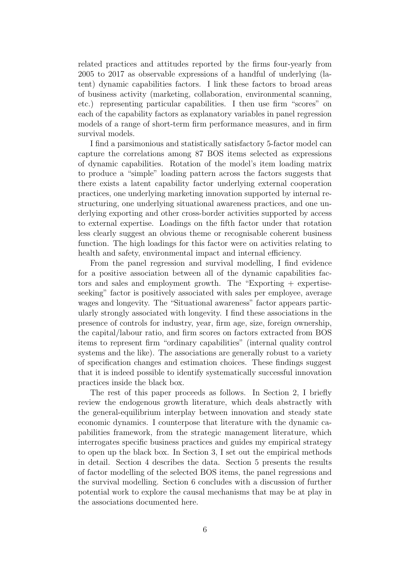related practices and attitudes reported by the firms four-yearly from 2005 to 2017 as observable expressions of a handful of underlying (latent) dynamic capabilities factors. I link these factors to broad areas of business activity (marketing, collaboration, environmental scanning, etc.) representing particular capabilities. I then use firm "scores" on each of the capability factors as explanatory variables in panel regression models of a range of short-term firm performance measures, and in firm survival models.

I find a parsimonious and statistically satisfactory 5-factor model can capture the correlations among 87 BOS items selected as expressions of dynamic capabilities. Rotation of the model's item loading matrix to produce a "simple" loading pattern across the factors suggests that there exists a latent capability factor underlying external cooperation practices, one underlying marketing innovation supported by internal restructuring, one underlying situational awareness practices, and one underlying exporting and other cross-border activities supported by access to external expertise. Loadings on the fifth factor under that rotation less clearly suggest an obvious theme or recognisable coherent business function. The high loadings for this factor were on activities relating to health and safety, environmental impact and internal efficiency.

From the panel regression and survival modelling, I find evidence for a positive association between all of the dynamic capabilities factors and sales and employment growth. The "Exporting + expertiseseeking" factor is positively associated with sales per employee, average wages and longevity. The "Situational awareness" factor appears particularly strongly associated with longevity. I find these associations in the presence of controls for industry, year, firm age, size, foreign ownership, the capital/labour ratio, and firm scores on factors extracted from BOS items to represent firm "ordinary capabilities" (internal quality control systems and the like). The associations are generally robust to a variety of specification changes and estimation choices. These findings suggest that it is indeed possible to identify systematically successful innovation practices inside the black box.

The rest of this paper proceeds as follows. In Section 2, I briefly review the endogenous growth literature, which deals abstractly with the general-equilibrium interplay between innovation and steady state economic dynamics. I counterpose that literature with the dynamic capabilities framework, from the strategic management literature, which interrogates specific business practices and guides my empirical strategy to open up the black box. In Section 3, I set out the empirical methods in detail. Section 4 describes the data. Section 5 presents the results of factor modelling of the selected BOS items, the panel regressions and the survival modelling. Section 6 concludes with a discussion of further potential work to explore the causal mechanisms that may be at play in the associations documented here.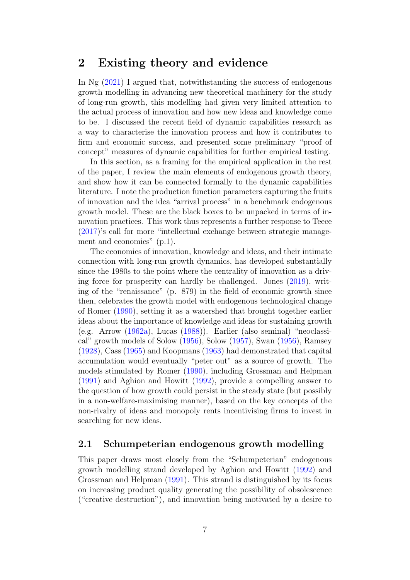# <span id="page-7-0"></span>2 Existing theory and evidence

In Ng [\(2021\)](#page-45-3) I argued that, notwithstanding the success of endogenous growth modelling in advancing new theoretical machinery for the study of long-run growth, this modelling had given very limited attention to the actual process of innovation and how new ideas and knowledge come to be. I discussed the recent field of dynamic capabilities research as a way to characterise the innovation process and how it contributes to firm and economic success, and presented some preliminary "proof of concept" measures of dynamic capabilities for further empirical testing.

In this section, as a framing for the empirical application in the rest of the paper, I review the main elements of endogenous growth theory, and show how it can be connected formally to the dynamic capabilities literature. I note the production function parameters capturing the fruits of innovation and the idea "arrival process" in a benchmark endogenous growth model. These are the black boxes to be unpacked in terms of innovation practices. This work thus represents a further response to Teece [\(2017\)](#page-46-6)'s call for more "intellectual exchange between strategic management and economics" (p.1).

The economics of innovation, knowledge and ideas, and their intimate connection with long-run growth dynamics, has developed substantially since the 1980s to the point where the centrality of innovation as a driving force for prosperity can hardly be challenged. Jones [\(2019\)](#page-45-4), writing of the "renaissance" (p. 879) in the field of economic growth since then, celebrates the growth model with endogenous technological change of Romer [\(1990\)](#page-46-7), setting it as a watershed that brought together earlier ideas about the importance of knowledge and ideas for sustaining growth (e.g. Arrow [\(1962a\)](#page-44-6), Lucas [\(1988\)](#page-45-5)). Earlier (also seminal) "neoclassical" growth models of Solow [\(1956\)](#page-46-8), Solow [\(1957\)](#page-46-9), Swan [\(1956\)](#page-46-10), Ramsey [\(1928\)](#page-46-11), Cass [\(1965\)](#page-44-7) and Koopmans [\(1963\)](#page-45-6) had demonstrated that capital accumulation would eventually "peter out" as a source of growth. The models stimulated by Romer [\(1990\)](#page-46-7), including Grossman and Helpman [\(1991\)](#page-45-7) and Aghion and Howitt [\(1992\)](#page-44-8), provide a compelling answer to the question of how growth could persist in the steady state (but possibly in a non-welfare-maximising manner), based on the key concepts of the non-rivalry of ideas and monopoly rents incentivising firms to invest in searching for new ideas.

## <span id="page-7-1"></span>2.1 Schumpeterian endogenous growth modelling

This paper draws most closely from the "Schumpeterian" endogenous growth modelling strand developed by Aghion and Howitt [\(1992\)](#page-44-8) and Grossman and Helpman [\(1991\)](#page-45-7). This strand is distinguished by its focus on increasing product quality generating the possibility of obsolescence ("creative destruction"), and innovation being motivated by a desire to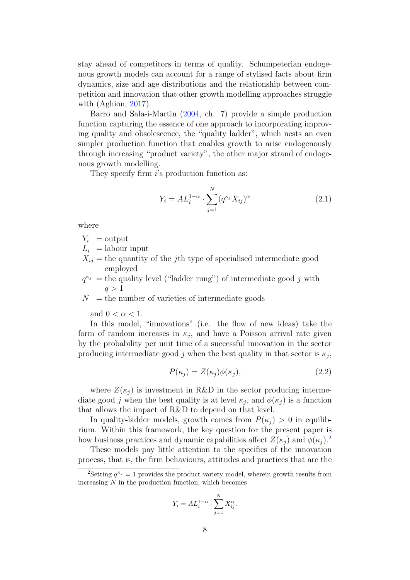stay ahead of competitors in terms of quality. Schumpeterian endogenous growth models can account for a range of stylised facts about firm dynamics, size and age distributions and the relationship between competition and innovation that other growth modelling approaches struggle with (Aghion, [2017\)](#page-44-9).

Barro and Sala-i-Martin [\(2004,](#page-44-10) ch. 7) provide a simple production function capturing the essence of one approach to incorporating improving quality and obsolescence, the "quality ladder", which nests an even simpler production function that enables growth to arise endogenously through increasing "product variety", the other major strand of endogenous growth modelling.

They specify firm i's production function as:

<span id="page-8-2"></span>
$$
Y_i = A L_i^{1-\alpha} \cdot \sum_{j=1}^{N} (q^{\kappa_j} X_{ij})^{\alpha}
$$
 (2.1)

where

$$
Y_i = \text{output}
$$

- $L_i$  = labour input
- $X_{ij}$  = the quantity of the *j*th type of specialised intermediate good employed
- $q^{\kappa_j}$  = the quality level ("ladder rung") of intermediate good j with  $q > 1$

 $N =$  the number of varieties of intermediate goods

and  $0 < \alpha < 1$ .

In this model, "innovations" (i.e. the flow of new ideas) take the form of random increases in  $\kappa_j$ , and have a Poisson arrival rate given by the probability per unit time of a successful innovation in the sector producing intermediate good j when the best quality in that sector is  $\kappa_j$ ,

<span id="page-8-1"></span>
$$
P(\kappa_j) = Z(\kappa_j)\phi(\kappa_j),\tag{2.2}
$$

where  $Z(\kappa_i)$  is investment in R&D in the sector producing intermediate good j when the best quality is at level  $\kappa_j$ , and  $\phi(\kappa_j)$  is a function that allows the impact of R&D to depend on that level.

In quality-ladder models, growth comes from  $P(\kappa_i) > 0$  in equilibrium. Within this framework, the key question for the present paper is how business practices and dynamic capabilities affect  $Z(\kappa_i)$  and  $\phi(\kappa_i)$ .<sup>[2](#page-8-0)</sup>

These models pay little attention to the specifics of the innovation process, that is, the firm behaviours, attitudes and practices that are the

$$
Y_i = AL_i^{1-\alpha} \cdot \sum_{j=1}^{N} X_{ij}^{\alpha}.
$$

<span id="page-8-0"></span><sup>&</sup>lt;sup>2</sup>Setting  $q^{\kappa_j} = 1$  provides the product variety model, wherein growth results from increasing  $N$  in the production function, which becomes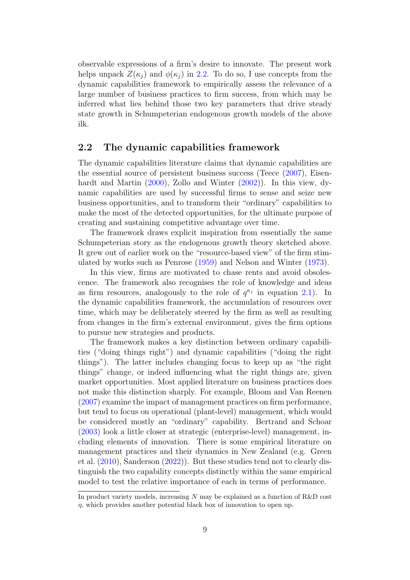observable expressions of a firm's desire to innovate. The present work helps unpack  $Z(\kappa_i)$  and  $\phi(\kappa_i)$  in [2.2.](#page-8-1) To do so, I use concepts from the dynamic capabilities framework to empirically assess the relevance of a large number of business practices to firm success, from which may be inferred what lies behind those two key parameters that drive steady state growth in Schumpeterian endogenous growth models of the above ilk.

#### <span id="page-9-0"></span>2.2 The dynamic capabilities framework

The dynamic capabilities literature claims that dynamic capabilities are the essential source of persistent business success (Teece [\(2007\)](#page-46-3), Eisenhardt and Martin [\(2000\)](#page-44-3), Zollo and Winter [\(2002\)](#page-46-12)). In this view, dynamic capabilities are used by successful firms to sense and seize new business opportunities, and to transform their "ordinary" capabilities to make the most of the detected opportunities, for the ultimate purpose of creating and sustaining competitive advantage over time.

The framework draws explicit inspiration from essentially the same Schumpeterian story as the endogenous growth theory sketched above. It grew out of earlier work on the "resource-based view" of the firm stimulated by works such as Penrose [\(1959\)](#page-46-13) and Nelson and Winter [\(1973\)](#page-45-8).

In this view, firms are motivated to chase rents and avoid obsolescence. The framework also recognises the role of knowledge and ideas as firm resources, analogously to the role of  $q^{\kappa_j}$  in equation [2.1\)](#page-8-2). In the dynamic capabilities framework, the accumulation of resources over time, which may be deliberately steered by the firm as well as resulting from changes in the firm's external environment, gives the firm options to pursue new strategies and products.

The framework makes a key distinction between ordinary capabilities ("doing things right") and dynamic capabilities ("doing the right things"). The latter includes changing focus to keep up as "the right things" change, or indeed influencing what the right things are, given market opportunities. Most applied literature on business practices does not make this distinction sharply. For example, Bloom and Van Reenen [\(2007\)](#page-44-11) examine the impact of management practices on firm performance, but tend to focus on operational (plant-level) management, which would be considered mostly an "ordinary" capability. Bertrand and Schoar [\(2003\)](#page-44-12) look a little closer at strategic (enterprise-level) management, including elements of innovation. There is some empirical literature on management practices and their dynamics in New Zealand (e.g. Green et al. [\(2010\)](#page-45-9), Sanderson [\(2022\)](#page-46-14)). But these studies tend not to clearly distinguish the two capability concepts distinctly within the same empirical model to test the relative importance of each in terms of performance.

In product variety models, increasing  $N$  may be explained as a function of  $R\&D$  cost  $\eta$ , which provides another potential black box of innovation to open up.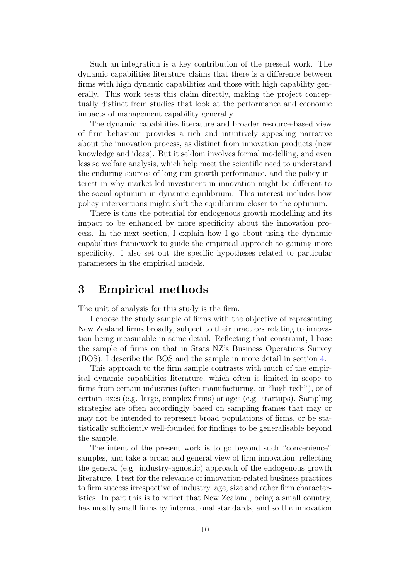Such an integration is a key contribution of the present work. The dynamic capabilities literature claims that there is a difference between firms with high dynamic capabilities and those with high capability generally. This work tests this claim directly, making the project conceptually distinct from studies that look at the performance and economic impacts of management capability generally.

The dynamic capabilities literature and broader resource-based view of firm behaviour provides a rich and intuitively appealing narrative about the innovation process, as distinct from innovation products (new knowledge and ideas). But it seldom involves formal modelling, and even less so welfare analysis, which help meet the scientific need to understand the enduring sources of long-run growth performance, and the policy interest in why market-led investment in innovation might be different to the social optimum in dynamic equilibrium. This interest includes how policy interventions might shift the equilibrium closer to the optimum.

There is thus the potential for endogenous growth modelling and its impact to be enhanced by more specificity about the innovation process. In the next section, I explain how I go about using the dynamic capabilities framework to guide the empirical approach to gaining more specificity. I also set out the specific hypotheses related to particular parameters in the empirical models.

# <span id="page-10-0"></span>3 Empirical methods

The unit of analysis for this study is the firm.

I choose the study sample of firms with the objective of representing New Zealand firms broadly, subject to their practices relating to innovation being measurable in some detail. Reflecting that constraint, I base the sample of firms on that in Stats NZ's Business Operations Survey (BOS). I describe the BOS and the sample in more detail in section [4.](#page-20-0)

This approach to the firm sample contrasts with much of the empirical dynamic capabilities literature, which often is limited in scope to firms from certain industries (often manufacturing, or "high tech"), or of certain sizes (e.g. large, complex firms) or ages (e.g. startups). Sampling strategies are often accordingly based on sampling frames that may or may not be intended to represent broad populations of firms, or be statistically sufficiently well-founded for findings to be generalisable beyond the sample.

The intent of the present work is to go beyond such "convenience" samples, and take a broad and general view of firm innovation, reflecting the general (e.g. industry-agnostic) approach of the endogenous growth literature. I test for the relevance of innovation-related business practices to firm success irrespective of industry, age, size and other firm characteristics. In part this is to reflect that New Zealand, being a small country, has mostly small firms by international standards, and so the innovation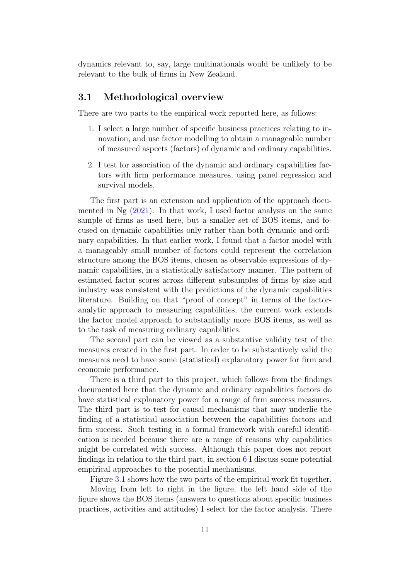dynamics relevant to, say, large multinationals would be unlikely to be relevant to the bulk of firms in New Zealand.

# <span id="page-11-0"></span>3.1 Methodological overview

There are two parts to the empirical work reported here, as follows:

- 1. I select a large number of specific business practices relating to innovation, and use factor modelling to obtain a manageable number of measured aspects (factors) of dynamic and ordinary capabilities.
- 2. I test for association of the dynamic and ordinary capabilities factors with firm performance measures, using panel regression and survival models.

The first part is an extension and application of the approach documented in  $Ng(2021)$  $Ng(2021)$ . In that work, I used factor analysis on the same sample of firms as used here, but a smaller set of BOS items, and focused on dynamic capabilities only rather than both dynamic and ordinary capabilities. In that earlier work, I found that a factor model with a manageably small number of factors could represent the correlation structure among the BOS items, chosen as observable expressions of dynamic capabilities, in a statistically satisfactory manner. The pattern of estimated factor scores across different subsamples of firms by size and industry was consistent with the predictions of the dynamic capabilities literature. Building on that "proof of concept" in terms of the factoranalytic approach to measuring capabilities, the current work extends the factor model approach to substantially more BOS items, as well as to the task of measuring ordinary capabilities.

The second part can be viewed as a substantive validity test of the measures created in the first part. In order to be substantively valid the measures need to have some (statistical) explanatory power for firm and economic performance.

There is a third part to this project, which follows from the findings documented here that the dynamic and ordinary capabilities factors do have statistical explanatory power for a range of firm success measures. The third part is to test for causal mechanisms that may underlie the finding of a statistical association between the capabilities factors and firm success. Such testing in a formal framework with careful identification is needed because there are a range of reasons why capabilities might be correlated with success. Although this paper does not report findings in relation to the third part, in section [6](#page-36-0) I discuss some potential empirical approaches to the potential mechanisms.

Figure [3.1](#page-12-2) shows how the two parts of the empirical work fit together.

Moving from left to right in the figure, the left hand side of the figure shows the BOS items (answers to questions about specific business practices, activities and attitudes) I select for the factor analysis. There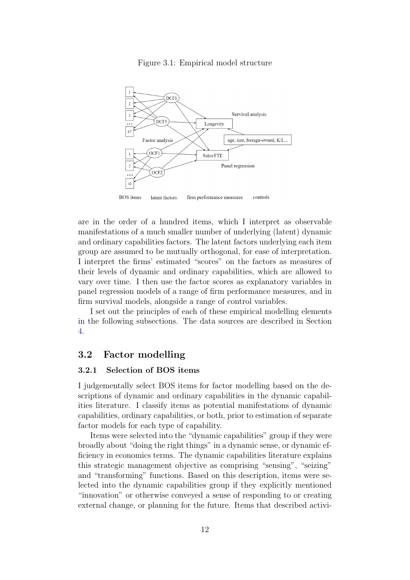<span id="page-12-2"></span>

Figure 3.1: Empirical model structure

are in the order of a hundred items, which I interpret as observable manifestations of a much smaller number of underlying (latent) dynamic and ordinary capabilities factors. The latent factors underlying each item group are assumed to be mutually orthogonal, for ease of interpretation. I interpret the firms' estimated "scores" on the factors as measures of their levels of dynamic and ordinary capabilities, which are allowed to vary over time. I then use the factor scores as explanatory variables in panel regression models of a range of firm performance measures, and in firm survival models, alongside a range of control variables.

I set out the principles of each of these empirical modelling elements in the following subsections. The data sources are described in Section [4.](#page-20-0)

## <span id="page-12-0"></span>3.2 Factor modelling

#### <span id="page-12-1"></span>3.2.1 Selection of BOS items

I judgementally select BOS items for factor modelling based on the descriptions of dynamic and ordinary capabilities in the dynamic capabilities literature. I classify items as potential manifestations of dynamic capabilities, ordinary capabilities, or both, prior to estimation of separate factor models for each type of capability.

Items were selected into the "dynamic capabilities" group if they were broadly about "doing the right things" in a dynamic sense, or dynamic efficiency in economics terms. The dynamic capabilities literature explains this strategic management objective as comprising "sensing", "seizing" and "transforming" functions. Based on this description, items were selected into the dynamic capabilities group if they explicitly mentioned "innovation" or otherwise conveyed a sense of responding to or creating external change, or planning for the future. Items that described activi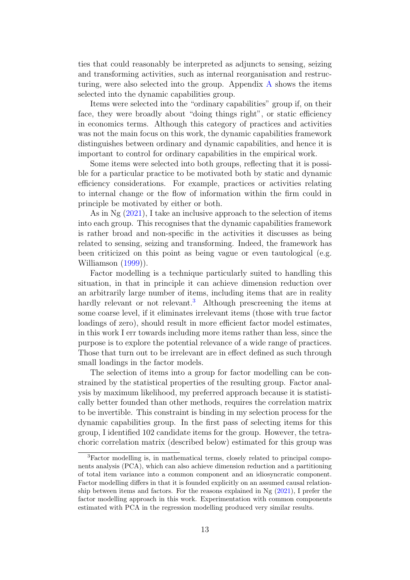ties that could reasonably be interpreted as adjuncts to sensing, seizing and transforming activities, such as internal reorganisation and restruc-turing, were also selected into the group. [A](#page-40-0)ppendix  $\Lambda$  shows the items selected into the dynamic capabilities group.

Items were selected into the "ordinary capabilities" group if, on their face, they were broadly about "doing things right", or static efficiency in economics terms. Although this category of practices and activities was not the main focus on this work, the dynamic capabilities framework distinguishes between ordinary and dynamic capabilities, and hence it is important to control for ordinary capabilities in the empirical work.

Some items were selected into both groups, reflecting that it is possible for a particular practice to be motivated both by static and dynamic efficiency considerations. For example, practices or activities relating to internal change or the flow of information within the firm could in principle be motivated by either or both.

As in Ng [\(2021\)](#page-45-3), I take an inclusive approach to the selection of items into each group. This recognises that the dynamic capabilities framework is rather broad and non-specific in the activities it discusses as being related to sensing, seizing and transforming. Indeed, the framework has been criticized on this point as being vague or even tautological (e.g. Williamson [\(1999\)](#page-46-15)).

Factor modelling is a technique particularly suited to handling this situation, in that in principle it can achieve dimension reduction over an arbitrarily large number of items, including items that are in reality hardly relevant or not relevant.<sup>[3](#page-13-0)</sup> Although prescreening the items at some coarse level, if it eliminates irrelevant items (those with true factor loadings of zero), should result in more efficient factor model estimates, in this work I err towards including more items rather than less, since the purpose is to explore the potential relevance of a wide range of practices. Those that turn out to be irrelevant are in effect defined as such through small loadings in the factor models.

The selection of items into a group for factor modelling can be constrained by the statistical properties of the resulting group. Factor analysis by maximum likelihood, my preferred approach because it is statistically better founded than other methods, requires the correlation matrix to be invertible. This constraint is binding in my selection process for the dynamic capabilities group. In the first pass of selecting items for this group, I identified 102 candidate items for the group. However, the tetrachoric correlation matrix (described below) estimated for this group was

<span id="page-13-0"></span><sup>3</sup>Factor modelling is, in mathematical terms, closely related to principal components analysis (PCA), which can also achieve dimension reduction and a partitioning of total item variance into a common component and an idiosyncratic component. Factor modelling differs in that it is founded explicitly on an assumed causal relationship between items and factors. For the reasons explained in Ng [\(2021\)](#page-45-3), I prefer the factor modelling approach in this work. Experimentation with common components estimated with PCA in the regression modelling produced very similar results.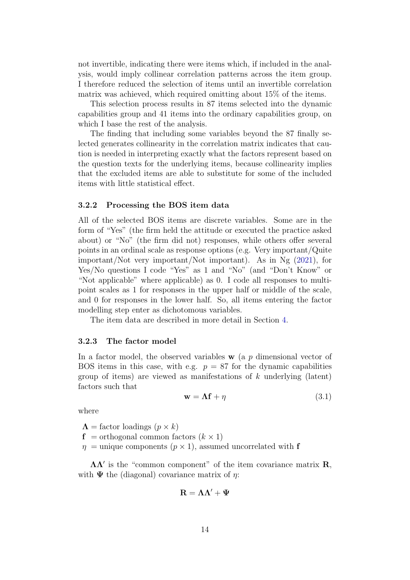not invertible, indicating there were items which, if included in the analysis, would imply collinear correlation patterns across the item group. I therefore reduced the selection of items until an invertible correlation matrix was achieved, which required omitting about 15% of the items.

This selection process results in 87 items selected into the dynamic capabilities group and 41 items into the ordinary capabilities group, on which I base the rest of the analysis.

The finding that including some variables beyond the 87 finally selected generates collinearity in the correlation matrix indicates that caution is needed in interpreting exactly what the factors represent based on the question texts for the underlying items, because collinearity implies that the excluded items are able to substitute for some of the included items with little statistical effect.

#### <span id="page-14-0"></span>3.2.2 Processing the BOS item data

All of the selected BOS items are discrete variables. Some are in the form of "Yes" (the firm held the attitude or executed the practice asked about) or "No" (the firm did not) responses, while others offer several points in an ordinal scale as response options (e.g. Very important/Quite important/Not very important/Not important). As in Ng [\(2021\)](#page-45-3), for Yes/No questions I code "Yes" as 1 and "No" (and "Don't Know" or "Not applicable" where applicable) as 0. I code all responses to multipoint scales as 1 for responses in the upper half or middle of the scale, and 0 for responses in the lower half. So, all items entering the factor modelling step enter as dichotomous variables.

The item data are described in more detail in Section [4.](#page-20-0)

#### <span id="page-14-1"></span>3.2.3 The factor model

In a factor model, the observed variables  $\bf{w}$  (a p dimensional vector of BOS items in this case, with e.g.  $p = 87$  for the dynamic capabilities group of items) are viewed as manifestations of  $k$  underlying (latent) factors such that

$$
\mathbf{w} = \mathbf{\Lambda} \mathbf{f} + \eta \tag{3.1}
$$

where

 $\Lambda$  = factor loadings  $(p \times k)$ 

 $f =$  orthogonal common factors  $(k \times 1)$ 

 $\eta$  = unique components ( $p \times 1$ ), assumed uncorrelated with f

 $\Lambda\Lambda'$  is the "common component" of the item covariance matrix **R**, with  $\Psi$  the (diagonal) covariance matrix of  $\eta$ :

$$
\mathbf{R}=\Lambda\Lambda'+\Psi
$$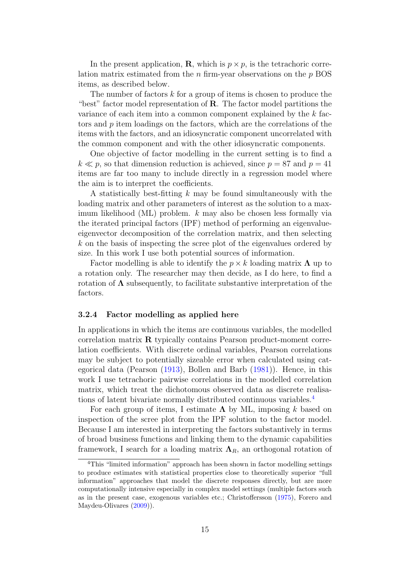In the present application, **R**, which is  $p \times p$ , is the tetrachoric correlation matrix estimated from the  $n$  firm-year observations on the  $p$  BOS items, as described below.

The number of factors  $k$  for a group of items is chosen to produce the "best" factor model representation of  $\bf{R}$ . The factor model partitions the variance of each item into a common component explained by the  $k$  factors and p item loadings on the factors, which are the correlations of the items with the factors, and an idiosyncratic component uncorrelated with the common component and with the other idiosyncratic components.

One objective of factor modelling in the current setting is to find a  $k \ll p$ , so that dimension reduction is achieved, since  $p = 87$  and  $p = 41$ items are far too many to include directly in a regression model where the aim is to interpret the coefficients.

A statistically best-fitting  $k$  may be found simultaneously with the loading matrix and other parameters of interest as the solution to a maximum likelihood (ML) problem. k may also be chosen less formally via the iterated principal factors (IPF) method of performing an eigenvalueeigenvector decomposition of the correlation matrix, and then selecting k on the basis of inspecting the scree plot of the eigenvalues ordered by size. In this work I use both potential sources of information.

Factor modelling is able to identify the  $p \times k$  loading matrix  $\Lambda$  up to a rotation only. The researcher may then decide, as I do here, to find a rotation of  $\Lambda$  subsequently, to facilitate substantive interpretation of the factors.

#### <span id="page-15-0"></span>3.2.4 Factor modelling as applied here

In applications in which the items are continuous variables, the modelled correlation matrix  $\bf{R}$  typically contains Pearson product-moment correlation coefficients. With discrete ordinal variables, Pearson correlations may be subject to potentially sizeable error when calculated using categorical data (Pearson [\(1913\)](#page-46-16), Bollen and Barb [\(1981\)](#page-44-13)). Hence, in this work I use tetrachoric pairwise correlations in the modelled correlation matrix, which treat the dichotomous observed data as discrete realisations of latent bivariate normally distributed continuous variables.[4](#page-15-1)

For each group of items, I estimate  $\Lambda$  by ML, imposing k based on inspection of the scree plot from the IPF solution to the factor model. Because I am interested in interpreting the factors substantively in terms of broad business functions and linking them to the dynamic capabilities framework, I search for a loading matrix  $\Lambda_R$ , an orthogonal rotation of

<span id="page-15-1"></span><sup>4</sup>This "limited information" approach has been shown in factor modelling settings to produce estimates with statistical properties close to theoretically superior "full information" approaches that model the discrete responses directly, but are more computationally intensive especially in complex model settings (multiple factors such as in the present case, exogenous variables etc.; Christoffersson [\(1975\)](#page-44-14), Forero and Maydeu-Olivares [\(2009\)](#page-45-10)).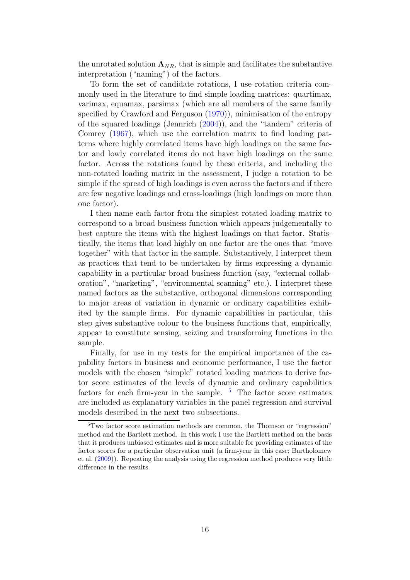the unrotated solution  $\Lambda_{NR}$ , that is simple and facilitates the substantive interpretation ("naming") of the factors.

To form the set of candidate rotations, I use rotation criteria commonly used in the literature to find simple loading matrices: quartimax, varimax, equamax, parsimax (which are all members of the same family specified by Crawford and Ferguson [\(1970\)](#page-44-15)), minimisation of the entropy of the squared loadings (Jennrich [\(2004\)](#page-45-11)), and the "tandem" criteria of Comrey [\(1967\)](#page-44-16), which use the correlation matrix to find loading patterns where highly correlated items have high loadings on the same factor and lowly correlated items do not have high loadings on the same factor. Across the rotations found by these criteria, and including the non-rotated loading matrix in the assessment, I judge a rotation to be simple if the spread of high loadings is even across the factors and if there are few negative loadings and cross-loadings (high loadings on more than one factor).

I then name each factor from the simplest rotated loading matrix to correspond to a broad business function which appears judgementally to best capture the items with the highest loadings on that factor. Statistically, the items that load highly on one factor are the ones that "move together" with that factor in the sample. Substantively, I interpret them as practices that tend to be undertaken by firms expressing a dynamic capability in a particular broad business function (say, "external collaboration", "marketing", "environmental scanning" etc.). I interpret these named factors as the substantive, orthogonal dimensions corresponding to major areas of variation in dynamic or ordinary capabilities exhibited by the sample firms. For dynamic capabilities in particular, this step gives substantive colour to the business functions that, empirically, appear to constitute sensing, seizing and transforming functions in the sample.

Finally, for use in my tests for the empirical importance of the capability factors in business and economic performance, I use the factor models with the chosen "simple" rotated loading matrices to derive factor score estimates of the levels of dynamic and ordinary capabilities factors for each firm-year in the sample.  $5$  The factor score estimates are included as explanatory variables in the panel regression and survival models described in the next two subsections.

<span id="page-16-0"></span><sup>5</sup>Two factor score estimation methods are common, the Thomson or "regression" method and the Bartlett method. In this work I use the Bartlett method on the basis that it produces unbiased estimates and is more suitable for providing estimates of the factor scores for a particular observation unit (a firm-year in this case; Bartholomew et al. [\(2009\)](#page-44-17)). Repeating the analysis using the regression method produces very little difference in the results.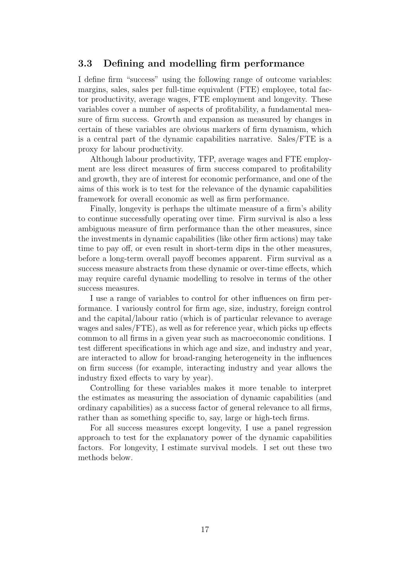## <span id="page-17-0"></span>3.3 Defining and modelling firm performance

I define firm "success" using the following range of outcome variables: margins, sales, sales per full-time equivalent (FTE) employee, total factor productivity, average wages, FTE employment and longevity. These variables cover a number of aspects of profitability, a fundamental measure of firm success. Growth and expansion as measured by changes in certain of these variables are obvious markers of firm dynamism, which is a central part of the dynamic capabilities narrative. Sales/FTE is a proxy for labour productivity.

Although labour productivity, TFP, average wages and FTE employment are less direct measures of firm success compared to profitability and growth, they are of interest for economic performance, and one of the aims of this work is to test for the relevance of the dynamic capabilities framework for overall economic as well as firm performance.

Finally, longevity is perhaps the ultimate measure of a firm's ability to continue successfully operating over time. Firm survival is also a less ambiguous measure of firm performance than the other measures, since the investments in dynamic capabilities (like other firm actions) may take time to pay off, or even result in short-term dips in the other measures, before a long-term overall payoff becomes apparent. Firm survival as a success measure abstracts from these dynamic or over-time effects, which may require careful dynamic modelling to resolve in terms of the other success measures.

I use a range of variables to control for other influences on firm performance. I variously control for firm age, size, industry, foreign control and the capital/labour ratio (which is of particular relevance to average wages and sales/FTE), as well as for reference year, which picks up effects common to all firms in a given year such as macroeconomic conditions. I test different specifications in which age and size, and industry and year, are interacted to allow for broad-ranging heterogeneity in the influences on firm success (for example, interacting industry and year allows the industry fixed effects to vary by year).

Controlling for these variables makes it more tenable to interpret the estimates as measuring the association of dynamic capabilities (and ordinary capabilities) as a success factor of general relevance to all firms, rather than as something specific to, say, large or high-tech firms.

For all success measures except longevity, I use a panel regression approach to test for the explanatory power of the dynamic capabilities factors. For longevity, I estimate survival models. I set out these two methods below.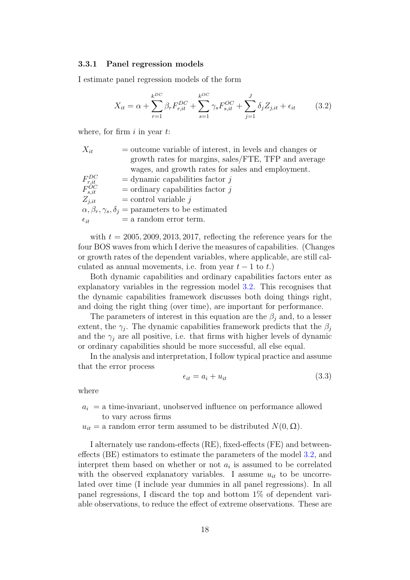#### <span id="page-18-0"></span>3.3.1 Panel regression models

I estimate panel regression models of the form

<span id="page-18-1"></span>
$$
X_{it} = \alpha + \sum_{r=1}^{k^{DC}} \beta_r F_{r, it}^{DC} + \sum_{s=1}^{k^{OC}} \gamma_s F_{s, it}^{OC} + \sum_{j=1}^{J} \delta_j Z_{j, it} + \epsilon_{it}
$$
 (3.2)

where, for firm  $i$  in year  $t$ :

| $X_{it}$                                   | $=$ outcome variable of interest, in levels and changes or         |
|--------------------------------------------|--------------------------------------------------------------------|
|                                            | growth rates for margins, sales/FTE, TFP and average               |
|                                            | wages, and growth rates for sales and employment.                  |
| $F_{r, it}^{DC} \overline{F_{s, it}^{OC}}$ | $=$ dynamic capabilities factor j                                  |
|                                            | $=$ ordinary capabilities factor $i$                               |
| $Z_{j,it}$                                 | $=$ control variable $j$                                           |
|                                            | $\alpha, \beta_r, \gamma_s, \delta_j$ = parameters to be estimated |
| $\epsilon_{it}$                            | $=$ a random error term.                                           |

with  $t = 2005, 2009, 2013, 2017$ , reflecting the reference years for the four BOS waves from which I derive the measures of capabilities. (Changes or growth rates of the dependent variables, where applicable, are still calculated as annual movements, i.e. from year  $t - 1$  to  $t$ .)

Both dynamic capabilities and ordinary capabilities factors enter as explanatory variables in the regression model [3.2.](#page-18-1) This recognises that the dynamic capabilities framework discusses both doing things right, and doing the right thing (over time), are important for performance.

The parameters of interest in this equation are the  $\beta_i$  and, to a lesser extent, the  $\gamma_j$ . The dynamic capabilities framework predicts that the  $\beta_j$ and the  $\gamma_i$  are all positive, i.e. that firms with higher levels of dynamic or ordinary capabilities should be more successful, all else equal.

In the analysis and interpretation, I follow typical practice and assume that the error process

<span id="page-18-2"></span>
$$
\epsilon_{it} = a_i + u_{it} \tag{3.3}
$$

where

 $a_i = a$  time-invariant, unobserved influence on performance allowed to vary across firms

 $u_{it} =$  a random error term assumed to be distributed  $N(0, \Omega)$ .

I alternately use random-effects (RE), fixed-effects (FE) and betweeneffects (BE) estimators to estimate the parameters of the model [3.2,](#page-18-1) and interpret them based on whether or not  $a_i$  is assumed to be correlated with the observed explanatory variables. I assume  $u_{it}$  to be uncorrelated over time (I include year dummies in all panel regressions). In all panel regressions, I discard the top and bottom 1% of dependent variable observations, to reduce the effect of extreme observations. These are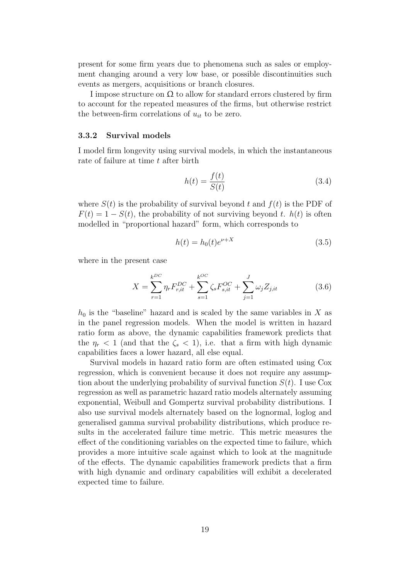present for some firm years due to phenomena such as sales or employment changing around a very low base, or possible discontinuities such events as mergers, acquisitions or branch closures.

I impose structure on  $\Omega$  to allow for standard errors clustered by firm to account for the repeated measures of the firms, but otherwise restrict the between-firm correlations of  $u_{it}$  to be zero.

#### <span id="page-19-0"></span>3.3.2 Survival models

I model firm longevity using survival models, in which the instantaneous rate of failure at time t after birth

$$
h(t) = \frac{f(t)}{S(t)}\tag{3.4}
$$

where  $S(t)$  is the probability of survival beyond t and  $f(t)$  is the PDF of  $F(t) = 1 - S(t)$ , the probability of not surviving beyond t.  $h(t)$  is often modelled in "proportional hazard" form, which corresponds to

$$
h(t) = h_0(t)e^{\nu + X} \tag{3.5}
$$

where in the present case

$$
X = \sum_{r=1}^{k^{DC}} \eta_r F_{r,it}^{DC} + \sum_{s=1}^{k^{OC}} \zeta_s F_{s,it}^{OC} + \sum_{j=1}^{J} \omega_j Z_{j,it}
$$
(3.6)

 $h_0$  is the "baseline" hazard and is scaled by the same variables in X as in the panel regression models. When the model is written in hazard ratio form as above, the dynamic capabilities framework predicts that the  $\eta_r < 1$  (and that the  $\zeta_s < 1$ ), i.e. that a firm with high dynamic capabilities faces a lower hazard, all else equal.

Survival models in hazard ratio form are often estimated using Cox regression, which is convenient because it does not require any assumption about the underlying probability of survival function  $S(t)$ . I use Cox regression as well as parametric hazard ratio models alternately assuming exponential, Weibull and Gompertz survival probability distributions. I also use survival models alternately based on the lognormal, loglog and generalised gamma survival probability distributions, which produce results in the accelerated failure time metric. This metric measures the effect of the conditioning variables on the expected time to failure, which provides a more intuitive scale against which to look at the magnitude of the effects. The dynamic capabilities framework predicts that a firm with high dynamic and ordinary capabilities will exhibit a decelerated expected time to failure.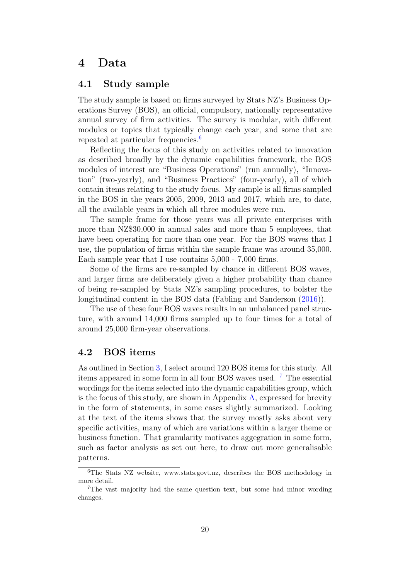# <span id="page-20-0"></span>4 Data

# <span id="page-20-1"></span>4.1 Study sample

The study sample is based on firms surveyed by Stats NZ's Business Operations Survey (BOS), an official, compulsory, nationally representative annual survey of firm activities. The survey is modular, with different modules or topics that typically change each year, and some that are repeated at particular frequencies.<sup>[6](#page-20-3)</sup>

Reflecting the focus of this study on activities related to innovation as described broadly by the dynamic capabilities framework, the BOS modules of interest are "Business Operations" (run annually), "Innovation" (two-yearly), and "Business Practices" (four-yearly), all of which contain items relating to the study focus. My sample is all firms sampled in the BOS in the years 2005, 2009, 2013 and 2017, which are, to date, all the available years in which all three modules were run.

The sample frame for those years was all private enterprises with more than NZ\$30,000 in annual sales and more than 5 employees, that have been operating for more than one year. For the BOS waves that I use, the population of firms within the sample frame was around 35,000. Each sample year that I use contains 5,000 - 7,000 firms.

Some of the firms are re-sampled by chance in different BOS waves, and larger firms are deliberately given a higher probability than chance of being re-sampled by Stats NZ's sampling procedures, to bolster the longitudinal content in the BOS data (Fabling and Sanderson [\(2016\)](#page-45-12)).

The use of these four BOS waves results in an unbalanced panel structure, with around 14,000 firms sampled up to four times for a total of around 25,000 firm-year observations.

## <span id="page-20-2"></span>4.2 BOS items

As outlined in Section [3,](#page-10-0) I select around 120 BOS items for this study. All items appeared in some form in all four BOS waves used. [7](#page-20-4) The essential wordings for the items selected into the dynamic capabilities group, which is the focus of this study, are shown in Appendix [A,](#page-40-0) expressed for brevity in the form of statements, in some cases slightly summarized. Looking at the text of the items shows that the survey mostly asks about very specific activities, many of which are variations within a larger theme or business function. That granularity motivates aggegration in some form, such as factor analysis as set out here, to draw out more generalisable patterns.

<span id="page-20-3"></span><sup>6</sup>The Stats NZ website, www.stats.govt.nz, describes the BOS methodology in more detail.

<span id="page-20-4"></span><sup>7</sup>The vast majority had the same question text, but some had minor wording changes.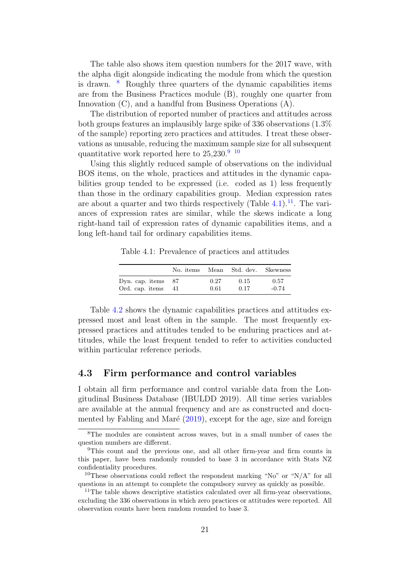The table also shows item question numbers for the 2017 wave, with the alpha digit alongside indicating the module from which the question is drawn.  $\delta$  Roughly three quarters of the dynamic capabilities items are from the Business Practices module (B), roughly one quarter from Innovation (C), and a handful from Business Operations (A).

The distribution of reported number of practices and attitudes across both groups features an implausibly large spike of 336 observations (1.3% of the sample) reporting zero practices and attitudes. I treat these observations as unusable, reducing the maximum sample size for all subsequent quantitative work reported here to  $25,230.^9$  $25,230.^9$  [10](#page-21-4)

Using this slightly reduced sample of observations on the individual BOS items, on the whole, practices and attitudes in the dynamic capabilities group tended to be expressed (i.e. coded as 1) less frequently than those in the ordinary capabilities group. Median expression rates are about a quarter and two thirds respectively (Table  $4.1$ ).<sup>[11](#page-21-5)</sup>. The variances of expression rates are similar, while the skews indicate a long right-hand tail of expression rates of dynamic capabilities items, and a long left-hand tail for ordinary capabilities items.

Table 4.1: Prevalence of practices and attitudes

<span id="page-21-1"></span>

|                 | No. items |      | Mean Std. dev. | Skewness |
|-----------------|-----------|------|----------------|----------|
| Dyn. cap. items | 87        | 0.27 | 0.15           | 0.57     |
| Ord. cap. items | -41       | 0.61 | 0.17           | $-0.74$  |

Table [4.2](#page-22-0) shows the dynamic capabilities practices and attitudes expressed most and least often in the sample. The most frequently expressed practices and attitudes tended to be enduring practices and attitudes, while the least frequent tended to refer to activities conducted within particular reference periods.

# <span id="page-21-0"></span>4.3 Firm performance and control variables

I obtain all firm performance and control variable data from the Longitudinal Business Database (IBULDD 2019). All time series variables are available at the annual frequency and are as constructed and documented by Fabling and Maré  $(2019)$ , except for the age, size and foreign

<span id="page-21-2"></span><sup>8</sup>The modules are consistent across waves, but in a small number of cases the question numbers are different.

<span id="page-21-3"></span><sup>9</sup>This count and the previous one, and all other firm-year and firm counts in this paper, have been randomly rounded to base 3 in accordance with Stats NZ confidentiality procedures.

<span id="page-21-4"></span><sup>&</sup>lt;sup>10</sup>These observations could reflect the respondent marking "No" or "N/A" for all questions in an attempt to complete the compulsory survey as quickly as possible.

<span id="page-21-5"></span> $11$ The table shows descriptive statistics calculated over all firm-year observations, excluding the 336 observations in which zero practices or attitudes were reported. All observation counts have been random rounded to base 3.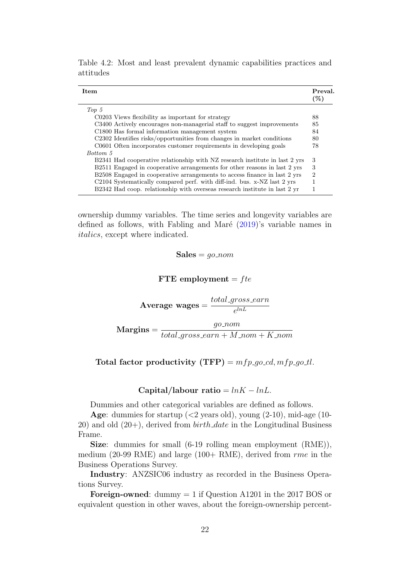<span id="page-22-0"></span>

| Item                                                                        | Preval.<br>$(\%)$ |
|-----------------------------------------------------------------------------|-------------------|
| $Top\ 5$                                                                    |                   |
| C0203 Views flexibility as important for strategy                           | 88                |
| C3400 Actively encourages non-managerial staff to suggest improvements      | 85                |
| C1800 Has formal information management system                              | 84                |
| C2302 Identifies risks/opportunities from changes in market conditions      | 80                |
| C0601 Often incorporates customer requirements in developing goals          | 78                |
| Bottom 5                                                                    |                   |
| B2341 Had cooperative relationship with NZ research institute in last 2 yrs | 3                 |
| B2511 Engaged in cooperative arrangements for other reasons in last 2 yrs   | 3                 |
| B2508 Engaged in cooperative arrangements to access finance in last 2 yrs   | $\overline{2}$    |
| C2104 Systematically compared perf. with diff-ind. bus. x-NZ last 2 yrs     |                   |
| B2342 Had coop. relationship with overseas research institute in last 2 yr  |                   |

Table 4.2: Most and least prevalent dynamic capabilities practices and attitudes

ownership dummy variables. The time series and longevity variables are defined as follows, with Fabling and Maré  $(2019)'s$  $(2019)'s$  variable names in italics, except where indicated.

 $Sales = qo\_nom$ 

FTE employment =  $fte$ 

Average wages =  $total\_gross\_earn$  $e^{lnL}$ 

 $Margins =$ go nom  $total\_gross\_earn + M\_nom + K\_nom$ 

Total factor productivity  $(TFP) = mfp_{g0}cd, mfp_{g0}ctl$ .

#### Capital/labour ratio =  $lnK - lnL$ .

Dummies and other categorical variables are defined as follows.

Age: dummies for startup  $( $2$  years old), young  $(2-10)$ , mid-age  $(10-$$ 20) and old  $(20+)$ , derived from  $birth\_date$  in the Longitudinal Business Frame.

Size: dummies for small (6-19 rolling mean employment (RME)), medium (20-99 RME) and large (100+ RME), derived from  $rme$  in the Business Operations Survey.

Industry: ANZSIC06 industry as recorded in the Business Operations Survey.

Foreign-owned: dummy  $= 1$  if Question A1201 in the 2017 BOS or equivalent question in other waves, about the foreign-ownership percent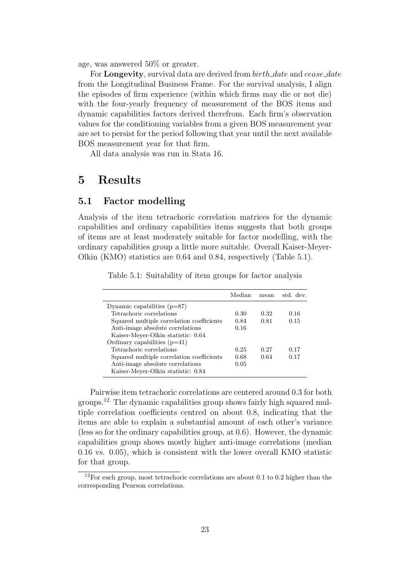age, was answered 50% or greater.

For **Longevity**, survival data are derived from *birth\_date* and *cease\_date* from the Longitudinal Business Frame. For the survival analysis, I align the episodes of firm experience (within which firms may die or not die) with the four-yearly frequency of measurement of the BOS items and dynamic capabilities factors derived therefrom. Each firm's observation values for the conditioning variables from a given BOS measurement year are set to persist for the period following that year until the next available BOS measurement year for that firm.

All data analysis was run in Stata 16.

# <span id="page-23-0"></span>5 Results

## <span id="page-23-1"></span>5.1 Factor modelling

Analysis of the item tetrachoric correlation matrices for the dynamic capabilities and ordinary capabilities items suggests that both groups of items are at least moderately suitable for factor modelling, with the ordinary capabilities group a little more suitable. Overall Kaiser-Meyer-Olkin (KMO) statistics are 0.64 and 0.84, respectively (Table [5.1\)](#page-23-2).

<span id="page-23-2"></span>

|                                           | Median | mean | std. dev. |
|-------------------------------------------|--------|------|-----------|
| Dynamic capabilities $(p=87)$             |        |      |           |
| Tetrachoric correlations                  | 0.30   | 0.32 | 0.16      |
| Squared multiple correlation coefficients | 0.84   | 0.81 | 0.15      |
| Anti-image absolute correlations          | 0.16   |      |           |
| Kaiser-Meyer-Olkin statistic: 0.64        |        |      |           |
| Ordinary capabilities $(p=41)$            |        |      |           |
| Tetrachoric correlations                  | 0.25   | 0.27 | 0.17      |
| Squared multiple correlation coefficients | 0.68   | 0.64 | 0.17      |
| Anti-image absolute correlations          | 0.05   |      |           |
| Kaiser-Meyer-Olkin statistic: 0.84        |        |      |           |

Table 5.1: Suitability of item groups for factor analysis

Pairwise item tetrachoric correlations are centered around 0.3 for both groups.[12](#page-23-3) The dynamic capabilities group shows fairly high squared multiple correlation coefficients centred on about 0.8, indicating that the items are able to explain a substantial amount of each other's variance (less so for the ordinary capabilities group, at 0.6). However, the dynamic capabilities group shows mostly higher anti-image correlations (median 0.16 vs. 0.05), which is consistent with the lower overall KMO statistic for that group.

<span id="page-23-3"></span> $12$ For each group, most tetrachoric correlations are about 0.1 to 0.2 higher than the corresponding Pearson correlations.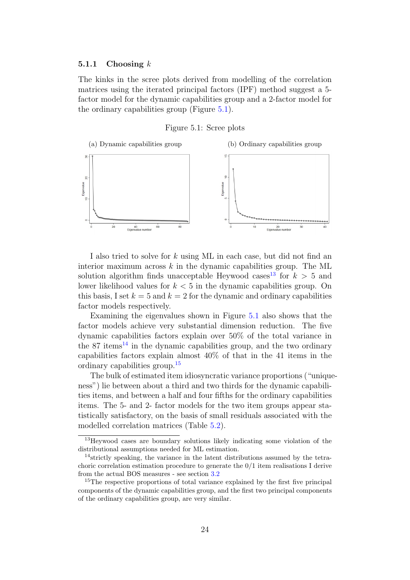#### <span id="page-24-0"></span>5.1.1 Choosing  $k$

The kinks in the scree plots derived from modelling of the correlation matrices using the iterated principal factors (IPF) method suggest a 5 factor model for the dynamic capabilities group and a 2-factor model for the ordinary capabilities group (Figure [5.1\)](#page-24-1).

#### Figure 5.1: Scree plots

<span id="page-24-1"></span>

I also tried to solve for k using ML in each case, but did not find an interior maximum across  $k$  in the dynamic capabilities group. The ML solution algorithm finds unacceptable Heywood cases<sup>[13](#page-24-2)</sup> for  $k > 5$  and lower likelihood values for  $k < 5$  in the dynamic capabilities group. On this basis, I set  $k = 5$  and  $k = 2$  for the dynamic and ordinary capabilities factor models respectively.

Examining the eigenvalues shown in Figure [5.1](#page-24-1) also shows that the factor models achieve very substantial dimension reduction. The five dynamic capabilities factors explain over 50% of the total variance in the  $87$  items<sup>[14](#page-24-3)</sup> in the dynamic capabilities group, and the two ordinary capabilities factors explain almost 40% of that in the 41 items in the ordinary capabilities group.[15](#page-24-4)

The bulk of estimated item idiosyncratic variance proportions ("uniqueness") lie between about a third and two thirds for the dynamic capabilities items, and between a half and four fifths for the ordinary capabilities items. The 5- and 2- factor models for the two item groups appear statistically satisfactory, on the basis of small residuals associated with the modelled correlation matrices (Table [5.2\)](#page-25-2).

<span id="page-24-2"></span><sup>13</sup>Heywood cases are boundary solutions likely indicating some violation of the distributional assumptions needed for ML estimation.

<span id="page-24-3"></span><sup>14</sup>strictly speaking, the variance in the latent distributions assumed by the tetrachoric correlation estimation procedure to generate the 0/1 item realisations I derive from the actual BOS measures - see section [3.2](#page-12-0)

<span id="page-24-4"></span><sup>&</sup>lt;sup>15</sup>The respective proportions of total variance explained by the first five principal components of the dynamic capabilities group, and the first two principal components of the ordinary capabilities group, are very similar.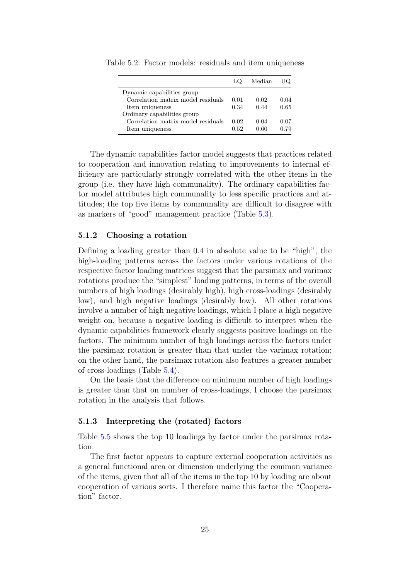|                                    |      | Median | JQ   |
|------------------------------------|------|--------|------|
| Dynamic capabilities group         |      |        |      |
| Correlation matrix model residuals | 0.01 | 0.02   | 0.04 |
| Item uniqueness                    | 0.34 | በ 44   | 0.65 |
| Ordinary capabilities group        |      |        |      |
| Correlation matrix model residuals | 0.02 | 0.04   | 0.07 |
| Item uniqueness                    | 0.52 | በ 60   | በ 79 |

<span id="page-25-2"></span>Table 5.2: Factor models: residuals and item uniqueness

The dynamic capabilities factor model suggests that practices related to cooperation and innovation relating to improvements to internal efficiency are particularly strongly correlated with the other items in the group (i.e. they have high communality). The ordinary capabilities factor model attributes high communality to less specific practices and attitudes; the top five items by communality are difficult to disagree with as markers of "good" management practice (Table [5.3\)](#page-26-0).

#### <span id="page-25-0"></span>5.1.2 Choosing a rotation

Defining a loading greater than 0.4 in absolute value to be "high", the high-loading patterns across the factors under various rotations of the respective factor loading matrices suggest that the parsimax and varimax rotations produce the "simplest" loading patterns, in terms of the overall numbers of high loadings (desirably high), high cross-loadings (desirably low), and high negative loadings (desirably low). All other rotations involve a number of high negative loadings, which I place a high negative weight on, because a negative loading is difficult to interpret when the dynamic capabilities framework clearly suggests positive loadings on the factors. The minimum number of high loadings across the factors under the parsimax rotation is greater than that under the varimax rotation; on the other hand, the parsimax rotation also features a greater number of cross-loadings (Table [5.4\)](#page-26-1).

On the basis that the difference on minimum number of high loadings is greater than that on number of cross-loadings, I choose the parsimax rotation in the analysis that follows.

#### <span id="page-25-1"></span>5.1.3 Interpreting the (rotated) factors

Table [5.5](#page-27-0) shows the top 10 loadings by factor under the parsimax rotation.

The first factor appears to capture external cooperation activities as a general functional area or dimension underlying the common variance of the items, given that all of the items in the top 10 by loading are about cooperation of various sorts. I therefore name this factor the "Cooperation" factor.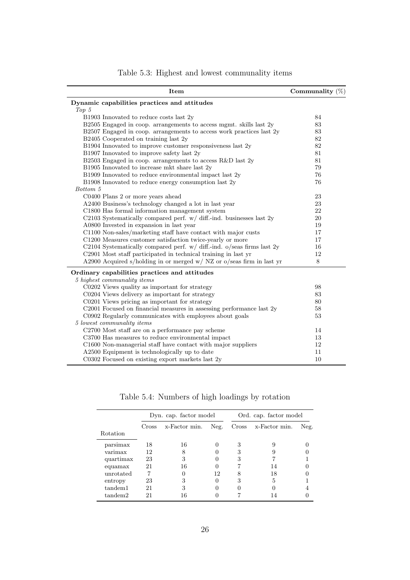<span id="page-26-0"></span>

| Item                                                                     | Communality $(\%)$ |
|--------------------------------------------------------------------------|--------------------|
| Dynamic capabilities practices and attitudes                             |                    |
| Top 5                                                                    |                    |
| B1903 Innovated to reduce costs last 2y                                  | 84                 |
| $B2505$ Engaged in coop. arrangements to access mgmt. skills last $2y$   | 83                 |
| B2507 Engaged in coop. arrangements to access work practices last 2y     | 83                 |
| B2405 Cooperated on training last 2y                                     | 82                 |
| B1904 Innovated to improve customer responsiveness last 2y               | 82                 |
| B1907 Innovated to improve safety last 2y                                | 81                 |
| B2503 Engaged in coop. arrangements to access R&D last 2y                | 81                 |
| B1905 Innovated to increase mkt share last 2y                            | 79                 |
| B1909 Innovated to reduce environmental impact last 2y                   | 76                 |
| B1908 Innovated to reduce energy consumption last 2y                     | 76                 |
| Bottom 5                                                                 |                    |
| C0400 Plans 2 or more years ahead                                        | 23                 |
| A2400 Business's technology changed a lot in last year                   | 23                 |
| C1800 Has formal information management system                           | 22                 |
| C2103 Systematically compared perf. $w/d$ diff.-ind. businesses last 2y  | 20                 |
| A0800 Invested in expansion in last year                                 | 19                 |
| C1100 Non-sales/marketing staff have contact with major custs            | 17                 |
| C1200 Measures customer satisfaction twice-yearly or more                | 17                 |
| C2104 Systematically compared perf. $w/d$ iff.-ind. o/seas firms last 2y | 16                 |
| C2901 Most staff participated in technical training in last yr           | 12                 |
| A2900 Acquired s/holding in or merged w/ NZ or o/seas firm in last yr    | 8                  |
| Ordinary capabilities practices and attitudes                            |                    |
| 5 highest communality items                                              |                    |
| C0202 Views quality as important for strategy                            | 98                 |
| C0204 Views delivery as important for strategy                           | 83                 |
| C0201 Views pricing as important for strategy                            | 80                 |
| C2001 Focused on financial measures in assessing performance last 2y     | 58                 |
| C0902 Regularly communicates with employees about goals                  | 53                 |
| 5 lowest communality items                                               |                    |
| C2700 Most staff are on a performance pay scheme                         | 14                 |
| C3700 Has measures to reduce environmental impact                        | 13                 |
| C1600 Non-managerial staff have contact with major suppliers             | 12                 |
| A2500 Equipment is technologically up to date                            | 11                 |
| C0302 Focused on existing export markets last 2y                         | 10                 |

Table 5.3: Highest and lowest communality items

Table 5.4: Numbers of high loadings by rotation

<span id="page-26-1"></span>

|           | Dyn. cap. factor model |               |      | Ord. cap. factor model |               |      |
|-----------|------------------------|---------------|------|------------------------|---------------|------|
|           | Cross                  | x-Factor min. | Neg. | Cross                  | x-Factor min. | Neg. |
| Rotation  |                        |               |      |                        |               |      |
| parsimax  | 18                     | 16            |      | 3                      |               |      |
| varimax   | 12                     | 8             |      | 3                      |               |      |
| quartimax | 23                     | 3             |      | 3                      |               |      |
| equamax   | 21                     | 16            |      |                        | 14            |      |
| unrotated |                        |               | 12   |                        | 18            |      |
| entropy   | 23                     | 3             |      | 3                      | 5             |      |
| tandem1   | 21                     | 3             |      |                        |               |      |
| tandem2   | 21                     | 16            |      |                        |               |      |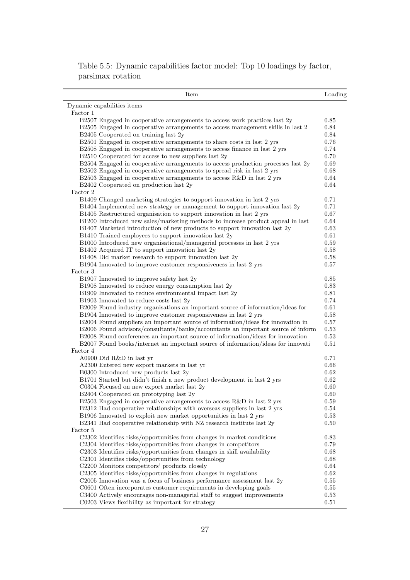Table 5.5: Dynamic capabilities factor model: Top 10 loadings by factor, parsimax rotation

<span id="page-27-0"></span>

| Item                                                                                   | Loading |
|----------------------------------------------------------------------------------------|---------|
| Dynamic capabilities items                                                             |         |
| Factor 1                                                                               |         |
| B2507 Engaged in cooperative arrangements to access work practices last 2y             | 0.85    |
| $\,$ B2505 Engaged in cooperative arrangements to access management skills in last $2$ | 0.84    |
| B2405 Cooperated on training last 2y                                                   | 0.84    |
| B2501 Engaged in cooperative arrangements to share costs in last 2 yrs                 | 0.76    |
| B2508 Engaged in cooperative arrangements to access finance in last 2 yrs              | 0.74    |
| B2510 Cooperated for access to new suppliers last 2y                                   | 0.70    |
| B2504 Engaged in cooperative arrangements to access production processes last 2y       | 0.69    |
| B2502 Engaged in cooperative arrangements to spread risk in last 2 yrs                 | 0.68    |
| B2503 Engaged in cooperative arrangements to access R&D in last 2 yrs                  | 0.64    |
| B2402 Cooperated on production last 2y                                                 | 0.64    |
| Factor 2                                                                               |         |
| B1409 Changed marketing strategies to support innovation in last 2 yrs                 | 0.71    |
| B1404 Implemented new strategy or management to support innovation last 2y             | 0.71    |
| B1405 Restructured organisation to support innovation in last 2 yrs                    | 0.67    |
| B1200 Introduced new sales/marketing methods to increase product appeal in last        | 0.64    |
| B1407 Marketed introduction of new products to support innovation last 2y              | 0.63    |
| B1410 Trained employees to support innovation last 2y                                  | 0.61    |
| B1000 Introduced new organisational/managerial processes in last 2 yrs                 | 0.59    |
| B1402 Acquired IT to support innovation last 2y                                        | 0.58    |
| B1408 Did market research to support innovation last 2y                                | 0.58    |
| B1904 Innovated to improve customer responsiveness in last 2 yrs                       | 0.57    |
| Factor 3                                                                               |         |
| B1907 Innovated to improve safety last 2y                                              | 0.85    |
| B1908 Innovated to reduce energy consumption last 2y                                   | 0.83    |
| B1909 Innovated to reduce environmental impact last 2y                                 | 0.81    |
| B1903 Innovated to reduce costs last 2y                                                | 0.74    |
| B2009 Found industry organisations an important source of information/ideas for        | 0.61    |
| B1904 Innovated to improve customer responsiveness in last 2 yrs                       | 0.58    |
| B2004 Found suppliers an important source of information/ideas for innovation in       | 0.57    |
| B2006 Found advisors/consultants/banks/accountants an important source of inform       | 0.53    |
| B2008 Found conferences an important source of information/ideas for innovation        | 0.53    |
| B2007 Found books/internet an important source of information/ideas for innovati       | 0.51    |
| Factor 4                                                                               |         |
| A0900 Did R&D in last yr                                                               | 0.71    |
| A2300 Entered new export markets in last yr                                            | 0.66    |
| B0300 Introduced new products last 2y                                                  | 0.62    |
| B1701 Started but didn't finish a new product development in last 2 yrs                | 0.62    |
| C0304 Focused on new export market last 2y                                             | 0.60    |
| B2404 Cooperated on prototyping last 2y                                                | 0.60    |
| B2503 Engaged in cooperative arrangements to access R&D in last 2 yrs                  | 0.59    |
| B2312 Had cooperative relationships with overseas suppliers in last 2 yrs              | 0.54    |
| B1906 Innovated to exploit new market opportunities in last 2 yrs                      | 0.53    |
| B2341 Had cooperative relationship with NZ research institute last 2y                  | 0.50    |
| Factor 5                                                                               |         |
| C2302 Identifies risks/opportunities from changes in market conditions                 | 0.83    |
| C2304 Identifies risks/opportunities from changes in competitors                       | 0.79    |
| C2303 Identifies risks/opportunities from changes in skill availability                | 0.68    |
| C2301 Identifies risks/opportunities from technology                                   | 0.68    |
| C2200 Monitors competitors' products closely                                           | 0.64    |
| C2305 Identifies risks/opportunities from changes in regulations                       | 0.62    |
| C2005 Innovation was a focus of business performance assessment last 2y                | 0.55    |
| C0601 Often incorporates customer requirements in developing goals                     | 0.55    |
| C3400 Actively encourages non-managerial staff to suggest improvements                 | 0.53    |
| C0203 Views flexibility as important for strategy                                      | 0.51    |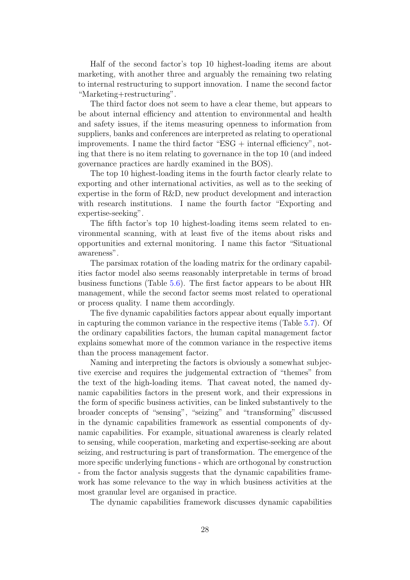Half of the second factor's top 10 highest-loading items are about marketing, with another three and arguably the remaining two relating to internal restructuring to support innovation. I name the second factor "Marketing+restructuring".

The third factor does not seem to have a clear theme, but appears to be about internal efficiency and attention to environmental and health and safety issues, if the items measuring openness to information from suppliers, banks and conferences are interpreted as relating to operational improvements. I name the third factor " $ESG +$  internal efficiency", noting that there is no item relating to governance in the top 10 (and indeed governance practices are hardly examined in the BOS).

The top 10 highest-loading items in the fourth factor clearly relate to exporting and other international activities, as well as to the seeking of expertise in the form of R&D, new product development and interaction with research institutions. I name the fourth factor "Exporting and expertise-seeking".

The fifth factor's top 10 highest-loading items seem related to environmental scanning, with at least five of the items about risks and opportunities and external monitoring. I name this factor "Situational awareness".

The parsimax rotation of the loading matrix for the ordinary capabilities factor model also seems reasonably interpretable in terms of broad business functions (Table [5.6\)](#page-31-0). The first factor appears to be about HR management, while the second factor seems most related to operational or process quality. I name them accordingly.

The five dynamic capabilities factors appear about equally important in capturing the common variance in the respective items (Table [5.7\)](#page-31-1). Of the ordinary capabilities factors, the human capital management factor explains somewhat more of the common variance in the respective items than the process management factor.

Naming and interpreting the factors is obviously a somewhat subjective exercise and requires the judgemental extraction of "themes" from the text of the high-loading items. That caveat noted, the named dynamic capabilities factors in the present work, and their expressions in the form of specific business activities, can be linked substantively to the broader concepts of "sensing", "seizing" and "transforming" discussed in the dynamic capabilities framework as essential components of dynamic capabilities. For example, situational awareness is clearly related to sensing, while cooperation, marketing and expertise-seeking are about seizing, and restructuring is part of transformation. The emergence of the more specific underlying functions - which are orthogonal by construction - from the factor analysis suggests that the dynamic capabilities framework has some relevance to the way in which business activities at the most granular level are organised in practice.

The dynamic capabilities framework discusses dynamic capabilities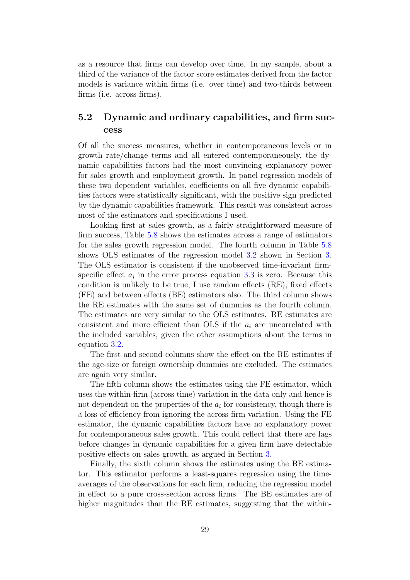as a resource that firms can develop over time. In my sample, about a third of the variance of the factor score estimates derived from the factor models is variance within firms (i.e. over time) and two-thirds between firms (i.e. across firms).

# <span id="page-29-0"></span>5.2 Dynamic and ordinary capabilities, and firm success

Of all the success measures, whether in contemporaneous levels or in growth rate/change terms and all entered contemporaneously, the dynamic capabilities factors had the most convincing explanatory power for sales growth and employment growth. In panel regression models of these two dependent variables, coefficients on all five dynamic capabilities factors were statistically significant, with the positive sign predicted by the dynamic capabilities framework. This result was consistent across most of the estimators and specifications I used.

Looking first at sales growth, as a fairly straightforward measure of firm success, Table [5.8](#page-32-0) shows the estimates across a range of estimators for the sales growth regression model. The fourth column in Table [5.8](#page-32-0) shows OLS estimates of the regression model [3.2](#page-18-1) shown in Section [3.](#page-10-0) The OLS estimator is consistent if the unobserved time-invariant firmspecific effect  $a_i$  in the error process equation [3.3](#page-18-2) is zero. Because this condition is unlikely to be true, I use random effects (RE), fixed effects (FE) and between effects (BE) estimators also. The third column shows the RE estimates with the same set of dummies as the fourth column. The estimates are very similar to the OLS estimates. RE estimates are consistent and more efficient than OLS if the  $a_i$  are uncorrelated with the included variables, given the other assumptions about the terms in equation [3.2.](#page-18-1)

The first and second columns show the effect on the RE estimates if the age-size or foreign ownership dummies are excluded. The estimates are again very similar.

The fifth column shows the estimates using the FE estimator, which uses the within-firm (across time) variation in the data only and hence is not dependent on the properties of the  $a_i$  for consistency, though there is a loss of efficiency from ignoring the across-firm variation. Using the FE estimator, the dynamic capabilities factors have no explanatory power for contemporaneous sales growth. This could reflect that there are lags before changes in dynamic capabilities for a given firm have detectable positive effects on sales growth, as argued in Section [3.](#page-10-0)

Finally, the sixth column shows the estimates using the BE estimator. This estimator performs a least-squares regression using the timeaverages of the observations for each firm, reducing the regression model in effect to a pure cross-section across firms. The BE estimates are of higher magnitudes than the RE estimates, suggesting that the within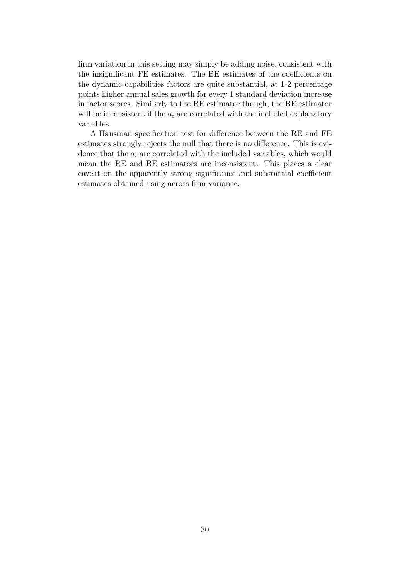firm variation in this setting may simply be adding noise, consistent with the insignificant FE estimates. The BE estimates of the coefficients on the dynamic capabilities factors are quite substantial, at 1-2 percentage points higher annual sales growth for every 1 standard deviation increase in factor scores. Similarly to the RE estimator though, the BE estimator will be inconsistent if the  $a_i$  are correlated with the included explanatory variables.

A Hausman specification test for difference between the RE and FE estimates strongly rejects the null that there is no difference. This is evidence that the  $a_i$  are correlated with the included variables, which would mean the RE and BE estimators are inconsistent. This places a clear caveat on the apparently strong significance and substantial coefficient estimates obtained using across-firm variance.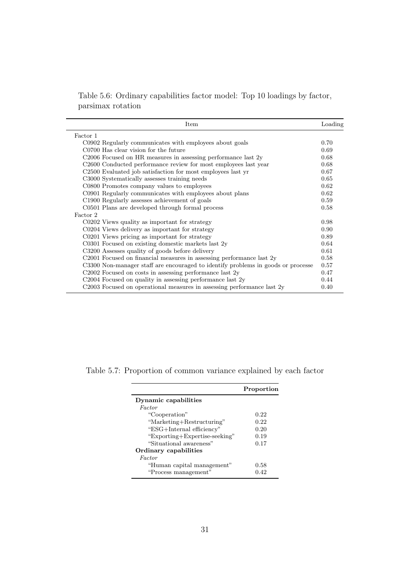Table 5.6: Ordinary capabilities factor model: Top 10 loadings by factor, parsimax rotation

<span id="page-31-0"></span>

| Item                                                                             | Loading |
|----------------------------------------------------------------------------------|---------|
| Factor 1                                                                         |         |
| C0902 Regularly communicates with employees about goals                          | 0.70    |
| C0700 Has clear vision for the future                                            | 0.69    |
| $C2006$ Focused on HR measures in assessing performance last $2y$                | 0.68    |
| C <sub>2600</sub> Conducted performance review for most employees last year      | 0.68    |
| C <sub>2500</sub> Evaluated job satisfaction for most employees last yr          | 0.67    |
| C3000 Systematically assesses training needs                                     | 0.65    |
| C0800 Promotes company values to employees                                       | 0.62    |
| C0901 Regularly communicates with employees about plans                          | 0.62    |
| C1900 Regularly assesses achievement of goals                                    | 0.59    |
| C0501 Plans are developed through formal process                                 | 0.58    |
| Factor 2                                                                         |         |
| C0202 Views quality as important for strategy                                    | 0.98    |
| C0204 Views delivery as important for strategy                                   | 0.90    |
| C0201 Views pricing as important for strategy                                    | 0.89    |
| C0301 Focused on existing domestic markets last 2y                               | 0.64    |
| C3200 Assesses quality of goods before delivery                                  | 0.61    |
| C2001 Focused on financial measures in assessing performance last $2y$           | 0.58    |
| C3300 Non-manager staff are encouraged to identify problems in goods or processe | 0.57    |
| C2002 Focused on costs in assessing performance last 2y                          | 0.47    |
| C2004 Focused on quality in assessing performance last 2y                        | 0.44    |
| C2003 Focused on operational measures in assessing performance last 2y           | 0.40    |

<span id="page-31-1"></span>Table 5.7: Proportion of common variance explained by each factor

|                               | Proportion |
|-------------------------------|------------|
| Dynamic capabilities          |            |
| Factor                        |            |
| "Cooperation"                 | 0.22       |
| "Marketing+Restructuring"     | 0.22       |
| "ESG+Internal efficiency"     | 0.20       |
| "Exporting+Expertise-seeking" | 0.19       |
| "Situational awareness"       | 0.17       |
| Ordinary capabilities         |            |
| Factor                        |            |
| "Human capital management"    | 0.58       |
| "Process management"          | 0.42       |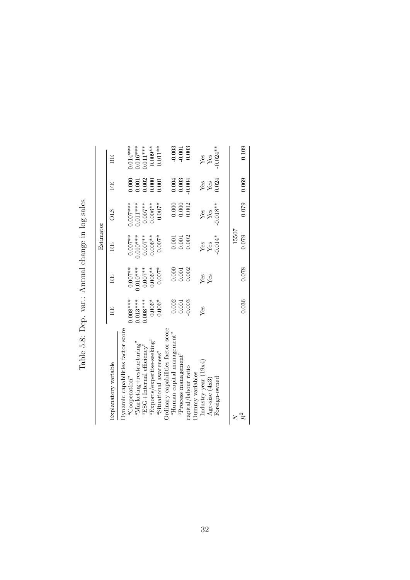Table 5.8: Dep. var.: Annual change in log sales Table 5.8: Dep. var.: Annual change in log sales

<span id="page-32-0"></span>

|                                                                                    |            |                                                        | Estimator                                         |                        |                                                        |                                               |
|------------------------------------------------------------------------------------|------------|--------------------------------------------------------|---------------------------------------------------|------------------------|--------------------------------------------------------|-----------------------------------------------|
| Explanatory variable                                                               | RE         | RE                                                     | RE                                                | <b>OLS</b>             | EE                                                     | EE                                            |
| Dynamic capabilities factor score                                                  |            |                                                        |                                                   |                        |                                                        |                                               |
| "Cooperation"                                                                      | $0.008***$ | $0.007**$                                              | $0.007**$                                         | $0.007***$<br>0.011*** | 0.000                                                  |                                               |
| $\mathrm{``Mar}$ ke $\mathrm{ting} + \mathrm{res} \mathrm{tr} \mathrm{ucturing''}$ | $0.013***$ | $0.010***$                                             | $0.010***$                                        |                        |                                                        |                                               |
| $ESG+Internal efficiency$                                                          | $0.008***$ | $0.007***$                                             | $0.007**$                                         | $0.007***$             | $0.001$<br>$0.002$<br>$0.000$<br>$0.001$               | $0.014***$<br>0.016***<br>0.011***<br>0.009** |
| "Exports/expertise-seeking"                                                        | $0.006*$   | $0.006**$                                              | $0.006**$                                         | $0.006***$             |                                                        |                                               |
| "Situational awareness"                                                            | $0.006*$   | $0.007*$                                               | $0.007*$                                          | $0.007*$               |                                                        | $0.011***$                                    |
| Ordinary capabilities factor score                                                 |            |                                                        |                                                   |                        |                                                        |                                               |
| $\mathrm{``Human}$ capital management"                                             | 0.002      |                                                        |                                                   |                        |                                                        |                                               |
| "Process management"                                                               | 0.001      | $\begin{array}{c} 0.000 \\ 0.001 \\ 0.002 \end{array}$ | $0.001$<br>$0.001$                                | 0.000                  | $\begin{array}{c} 0.004 \\ 0.003 \\ 0.004 \end{array}$ | $0.003$<br>$0.001$<br>$0.003$                 |
| capital/labour ratio                                                               | 0.003      |                                                        | 0.002                                             | 0.002                  |                                                        |                                               |
| Dummy variables                                                                    |            |                                                        |                                                   |                        |                                                        |                                               |
| Industry-year $(19x4)$                                                             | Yes        | Yes<br>Yes                                             |                                                   |                        |                                                        |                                               |
| Age-size (4x3)                                                                     |            |                                                        | $\frac{Y_{\text{BS}}}{Y_{\text{BS}}}$<br>$0.014*$ | $\frac{V}{Y}$ es       | $\begin{array}{c}\nY_{CS}\\Y_{CS}\\0.024\n\end{array}$ | $_{\rm Yes}^{\rm Yes}$                        |
| Foreign-owned                                                                      |            |                                                        |                                                   | $-0.018**$             |                                                        | $0.024***$                                    |
| ζ                                                                                  |            |                                                        | 15507                                             |                        |                                                        |                                               |
| $\mathbb{R}^2$                                                                     | 0.036      | 0.078                                                  | 0.079                                             | 0.079                  | 0.069                                                  | 0.109                                         |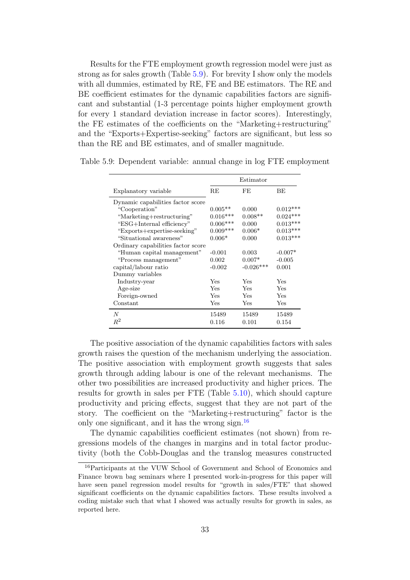Results for the FTE employment growth regression model were just as strong as for sales growth (Table [5.9\)](#page-33-0). For brevity I show only the models with all dummies, estimated by RE, FE and BE estimators. The RE and BE coefficient estimates for the dynamic capabilities factors are significant and substantial (1-3 percentage points higher employment growth for every 1 standard deviation increase in factor scores). Interestingly, the FE estimates of the coefficients on the "Marketing+restructuring" and the "Exports+Expertise-seeking" factors are significant, but less so than the RE and BE estimates, and of smaller magnitude.

|                                    |            | Estimator   |            |
|------------------------------------|------------|-------------|------------|
| Explanatory variable               | RE         | FE          | ВE         |
| Dynamic capabilities factor score  |            |             |            |
| "Cooperation"                      | $0.005**$  | 0.000       | $0.012***$ |
| "Marketing+restructuring"          | $0.016***$ | $0.008**$   | $0.024***$ |
| "ESG+Internal efficiency"          | $0.006***$ | 0.000       | $0.013***$ |
| "Exports+expertise-seeking"        | $0.009***$ | $0.006*$    | $0.013***$ |
| "Situational awareness"            | $0.006*$   | 0.000       | $0.013***$ |
| Ordinary capabilities factor score |            |             |            |
| "Human capital management"         | $-0.001$   | 0.003       | $-0.007*$  |
| "Process management"               | 0.002      | $0.007*$    | $-0.005$   |
| capital/labour ratio               | $-0.002$   | $-0.026***$ | 0.001      |
| Dummy variables                    |            |             |            |
| Industry-year                      | Yes        | Yes         | Yes        |
| Age-size                           | <b>Yes</b> | Yes         | Yes        |
| Foreign-owned                      | Yes        | Yes         | Yes        |
| Constant                           | Yes        | Yes         | Yes        |
| N                                  | 15489      | 15489       | 15489      |
| $R^2$                              | 0.116      | 0.101       | 0.154      |

<span id="page-33-0"></span>Table 5.9: Dependent variable: annual change in log FTE employment

The positive association of the dynamic capabilities factors with sales growth raises the question of the mechanism underlying the association. The positive association with employment growth suggests that sales growth through adding labour is one of the relevant mechanisms. The other two possibilities are increased productivity and higher prices. The results for growth in sales per FTE (Table [5.10\)](#page-34-0), which should capture productivity and pricing effects, suggest that they are not part of the story. The coefficient on the "Marketing+restructuring" factor is the only one significant, and it has the wrong sign.<sup>[16](#page-33-1)</sup>

The dynamic capabilities coefficient estimates (not shown) from regressions models of the changes in margins and in total factor productivity (both the Cobb-Douglas and the translog measures constructed

<span id="page-33-1"></span><sup>16</sup>Participants at the VUW School of Government and School of Economics and Finance brown bag seminars where I presented work-in-progress for this paper will have seen panel regression model results for "growth in sales/FTE" that showed significant coefficients on the dynamic capabilities factors. These results involved a coding mistake such that what I showed was actually results for growth in sales, as reported here.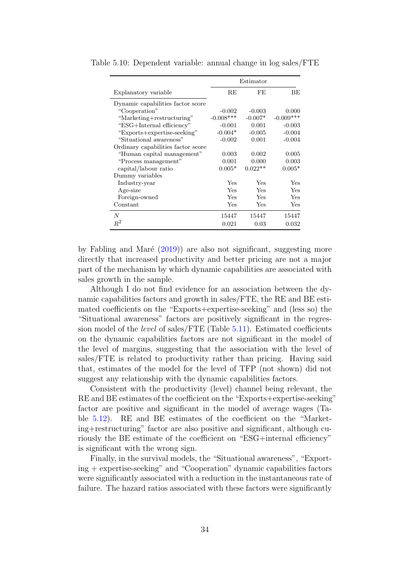|                                    |             | Estimator |             |
|------------------------------------|-------------|-----------|-------------|
| Explanatory variable               | RE          | FE        | BE          |
| Dynamic capabilities factor score  |             |           |             |
| "Cooperation"                      | $-0.002$    | $-0.003$  | 0.000       |
| "Marketing+restructuring"          | $-0.008***$ | $-0.007*$ | $-0.009***$ |
| "ESG+Internal efficiency"          | $-0.001$    | 0.001     | $-0.003$    |
| "Exports+expertise-seeking"        | $-0.004*$   | $-0.005$  | $-0.004$    |
| "Situational awareness"            | $-0.002$    | 0.001     | $-0.004$    |
| Ordinary capabilities factor score |             |           |             |
| "Human capital management"         | 0.003       | 0.002     | 0.005       |
| "Process management"               | 0.001       | 0.000     | 0.003       |
| capital/labour ratio               | $0.005*$    | $0.022**$ | $0.005*$    |
| Dummy variables                    |             |           |             |
| Industry-year                      | Yes         | Yes       | Yes         |
| Age-size                           | Yes         | Yes       | Yes         |
| Foreign-owned                      | Yes         | Yes       | Yes         |
| Constant                           | Yes         | Yes       | Yes         |
| $\boldsymbol{N}$                   | 15447       | 15447     | 15447       |
| $R^2$                              | 0.021       | 0.03      | 0.032       |

<span id="page-34-0"></span>Table 5.10: Dependent variable: annual change in log sales/FTE

by Fabling and Maré  $(2019)$  are also not significant, suggesting more directly that increased productivity and better pricing are not a major part of the mechanism by which dynamic capabilities are associated with sales growth in the sample.

Although I do not find evidence for an association between the dynamic capabilities factors and growth in sales/FTE, the RE and BE estimated coefficients on the "Exports+expertise-seeking" and (less so) the "Situational awareness" factors are positively significant in the regression model of the level of sales/FTE (Table [5.11\)](#page-35-0). Estimated coefficients on the dynamic capabilities factors are not significant in the model of the level of margins, suggesting that the association with the level of sales/FTE is related to productivity rather than pricing. Having said that, estimates of the model for the level of TFP (not shown) did not suggest any relationship with the dynamic capabilities factors.

Consistent with the productivity (level) channel being relevant, the RE and BE estimates of the coefficient on the "Exports+expertise-seeking" factor are positive and significant in the model of average wages (Table [5.12\)](#page-35-1). RE and BE estimates of the coefficient on the "Marketing+restructuring" factor are also positive and significant, although curiously the BE estimate of the coefficient on "ESG+internal efficiency" is significant with the wrong sign.

Finally, in the survival models, the "Situational awareness", "Exporting + expertise-seeking" and "Cooperation" dynamic capabilities factors were significantly associated with a reduction in the instantaneous rate of failure. The hazard ratios associated with these factors were significantly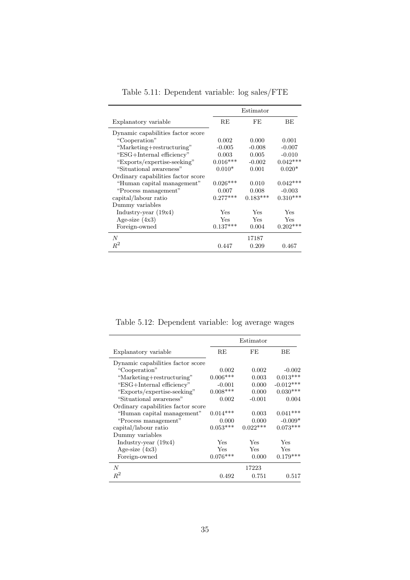<span id="page-35-0"></span>

|                                    |            | Estimator  |            |
|------------------------------------|------------|------------|------------|
| Explanatory variable               | RE         | FE.        | <b>BE</b>  |
| Dynamic capabilities factor score  |            |            |            |
| "Cooperation"                      | 0.002      | 0.000      | 0.001      |
| "Marketing+restructuring"          | $-0.005$   | $-0.008$   | $-0.007$   |
| "ESG+Internal efficiency"          | 0.003      | 0.005      | $-0.010$   |
| "Exports/expertise-seeking"        | $0.016***$ | $-0.002$   | $0.042***$ |
| "Situational awareness"            | $0.010*$   | 0.001      | $0.020*$   |
| Ordinary capabilities factor score |            |            |            |
| "Human capital management"         | $0.026***$ | 0.010      | $0.042***$ |
| "Process management"               | 0.007      | 0.008      | $-0.003$   |
| capital/labour ratio               | $0.277***$ | $0.183***$ | $0.310***$ |
| Dummy variables                    |            |            |            |
| Industry-year $(19x4)$             | Yes        | Yes        | Yes        |
| Age-size $(4x3)$                   | Yes        | Yes        | Yes        |
| Foreign-owned                      | $0.137***$ | 0.004      | $0.202***$ |
| $\boldsymbol{N}$                   |            | 17187      |            |
| $R^2$                              | 0.447      | 0.209      | 0.467      |

Table 5.11: Dependent variable: log sales/FTE

Table 5.12: Dependent variable: log average wages

<span id="page-35-1"></span>

|                                    |            | Estimator  |             |
|------------------------------------|------------|------------|-------------|
| Explanatory variable               | RE         | FE         | ВE          |
| Dynamic capabilities factor score  |            |            |             |
| "Cooperation"                      | 0.002      | 0.002      | $-0.002$    |
| "Marketing+restructuring"          | $0.006***$ | 0.003      | $0.013***$  |
| "ESG+Internal efficiency"          | $-0.001$   | 0.000      | $-0.012***$ |
| "Exports/expertise-seeking"        | $0.008***$ | 0.000      | $0.030***$  |
| "Situational awareness"            | 0.002      | $-0.001$   | 0.004       |
| Ordinary capabilities factor score |            |            |             |
| "Human capital management"         | $0.014***$ | 0.003      | $0.041***$  |
| "Process management"               | 0.000      | 0.000      | $-0.009*$   |
| capital/labour ratio               | $0.053***$ | $0.022***$ | $0.073***$  |
| Dummy variables                    |            |            |             |
| Industry-year $(19x4)$             | Yes        | Yes        | Yes         |
| Age-size $(4x3)$                   | Yes        | Yes        | Yes         |
| Foreign-owned                      | $0.076***$ | 0.000      | $0.179***$  |
| N                                  |            | 17223      |             |
| $\,R^2$                            | 0.492      | 0.751      | 0.517       |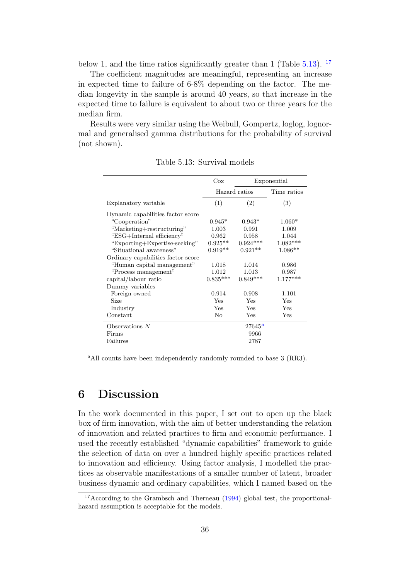below 1, and the time ratios significantly greater than 1 (Table  $5.13$ ). <sup>[17](#page-36-2)</sup>

The coefficient magnitudes are meaningful, representing an increase in expected time to failure of 6-8% depending on the factor. The median longevity in the sample is around 40 years, so that increase in the expected time to failure is equivalent to about two or three years for the median firm.

Results were very similar using the Weibull, Gompertz, loglog, lognormal and generalised gamma distributions for the probability of survival (not shown).

<span id="page-36-1"></span>

|                                    | $\cos$         |                 | Exponential |
|------------------------------------|----------------|-----------------|-------------|
|                                    | Hazard ratios  |                 | Time ratios |
| Explanatory variable               | (1)            | (2)             | (3)         |
| Dynamic capabilities factor score  |                |                 |             |
| "Cooperation"                      | $0.945*$       | $0.943*$        | $1.060*$    |
| "Marketing+restructuring"          | 1.003          | 0.991           | 1.009       |
| "ESG+Internal efficiency"          | 0.962          | 0.958           | 1.044       |
| "Exporting+Expertise-seeking"      | $0.925**$      | $0.924***$      | $1.082***$  |
| "Situational awareness"            | $0.919**$      | $0.921**$       | $1.086**$   |
| Ordinary capabilities factor score |                |                 |             |
| "Human capital management"         | 1.018          | 1.014           | 0.986       |
| "Process management"               | 1.012          | 1.013           | 0.987       |
| capital/labour ratio               | $0.835***$     | $0.849***$      | $1.177***$  |
| Dummy variables                    |                |                 |             |
| Foreign owned                      | 0.914          | 0.908           | 1.101       |
| Size                               | Yes            | Yes             | Yes         |
| Industry                           | <b>Yes</b>     | Yes             | Yes         |
| Constant                           | N <sub>o</sub> | Yes             | Yes         |
| Observations $N$                   |                | $27645^{\circ}$ |             |
| Firms                              |                | 9966            |             |
| Failures                           |                | 2787            |             |

Table 5.13: Survival models

<span id="page-36-3"></span><sup>a</sup>All counts have been independently randomly rounded to base  $3$  (RR3).

# <span id="page-36-0"></span>6 Discussion

In the work documented in this paper, I set out to open up the black box of firm innovation, with the aim of better understanding the relation of innovation and related practices to firm and economic performance. I used the recently established "dynamic capabilities" framework to guide the selection of data on over a hundred highly specific practices related to innovation and efficiency. Using factor analysis, I modelled the practices as observable manifestations of a smaller number of latent, broader business dynamic and ordinary capabilities, which I named based on the

<span id="page-36-2"></span><sup>&</sup>lt;sup>17</sup>According to the Grambsch and Therneau [\(1994\)](#page-45-14) global test, the proportionalhazard assumption is acceptable for the models.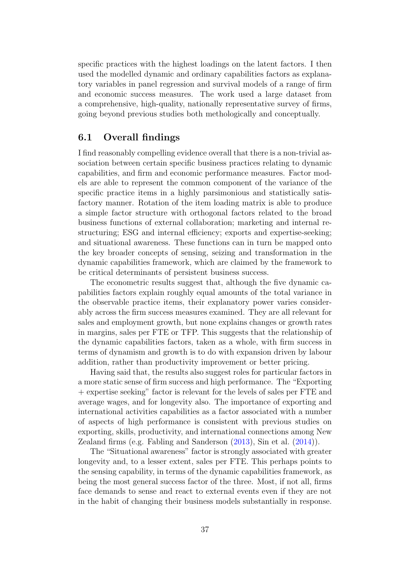specific practices with the highest loadings on the latent factors. I then used the modelled dynamic and ordinary capabilities factors as explanatory variables in panel regression and survival models of a range of firm and economic success measures. The work used a large dataset from a comprehensive, high-quality, nationally representative survey of firms, going beyond previous studies both methologically and conceptually.

# <span id="page-37-0"></span>6.1 Overall findings

I find reasonably compelling evidence overall that there is a non-trivial association between certain specific business practices relating to dynamic capabilities, and firm and economic performance measures. Factor models are able to represent the common component of the variance of the specific practice items in a highly parsimonious and statistically satisfactory manner. Rotation of the item loading matrix is able to produce a simple factor structure with orthogonal factors related to the broad business functions of external collaboration; marketing and internal restructuring; ESG and internal efficiency; exports and expertise-seeking; and situational awareness. These functions can in turn be mapped onto the key broader concepts of sensing, seizing and transformation in the dynamic capabilities framework, which are claimed by the framework to be critical determinants of persistent business success.

The econometric results suggest that, although the five dynamic capabilities factors explain roughly equal amounts of the total variance in the observable practice items, their explanatory power varies considerably across the firm success measures examined. They are all relevant for sales and employment growth, but none explains changes or growth rates in margins, sales per FTE or TFP. This suggests that the relationship of the dynamic capabilities factors, taken as a whole, with firm success in terms of dynamism and growth is to do with expansion driven by labour addition, rather than productivity improvement or better pricing.

Having said that, the results also suggest roles for particular factors in a more static sense of firm success and high performance. The "Exporting + expertise seeking" factor is relevant for the levels of sales per FTE and average wages, and for longevity also. The importance of exporting and international activities capabilities as a factor associated with a number of aspects of high performance is consistent with previous studies on exporting, skills, productivity, and international connections among New Zealand firms (e.g. Fabling and Sanderson [\(2013\)](#page-45-15), Sin et al. [\(2014\)](#page-46-17)).

The "Situational awareness" factor is strongly associated with greater longevity and, to a lesser extent, sales per FTE. This perhaps points to the sensing capability, in terms of the dynamic capabilities framework, as being the most general success factor of the three. Most, if not all, firms face demands to sense and react to external events even if they are not in the habit of changing their business models substantially in response.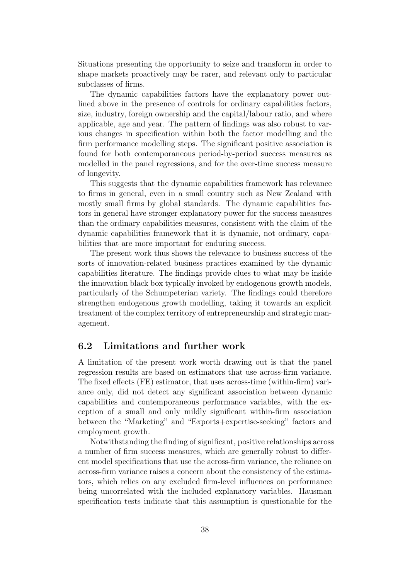Situations presenting the opportunity to seize and transform in order to shape markets proactively may be rarer, and relevant only to particular subclasses of firms.

The dynamic capabilities factors have the explanatory power outlined above in the presence of controls for ordinary capabilities factors, size, industry, foreign ownership and the capital/labour ratio, and where applicable, age and year. The pattern of findings was also robust to various changes in specification within both the factor modelling and the firm performance modelling steps. The significant positive association is found for both contemporaneous period-by-period success measures as modelled in the panel regressions, and for the over-time success measure of longevity.

This suggests that the dynamic capabilities framework has relevance to firms in general, even in a small country such as New Zealand with mostly small firms by global standards. The dynamic capabilities factors in general have stronger explanatory power for the success measures than the ordinary capabilities measures, consistent with the claim of the dynamic capabilities framework that it is dynamic, not ordinary, capabilities that are more important for enduring success.

The present work thus shows the relevance to business success of the sorts of innovation-related business practices examined by the dynamic capabilities literature. The findings provide clues to what may be inside the innovation black box typically invoked by endogenous growth models, particularly of the Schumpeterian variety. The findings could therefore strengthen endogenous growth modelling, taking it towards an explicit treatment of the complex territory of entrepreneurship and strategic management.

## <span id="page-38-0"></span>6.2 Limitations and further work

A limitation of the present work worth drawing out is that the panel regression results are based on estimators that use across-firm variance. The fixed effects (FE) estimator, that uses across-time (within-firm) variance only, did not detect any significant association between dynamic capabilities and contemporaneous performance variables, with the exception of a small and only mildly significant within-firm association between the "Marketing" and "Exports+expertise-seeking" factors and employment growth.

Notwithstanding the finding of significant, positive relationships across a number of firm success measures, which are generally robust to different model specifications that use the across-firm variance, the reliance on across-firm variance raises a concern about the consistency of the estimators, which relies on any excluded firm-level influences on performance being uncorrelated with the included explanatory variables. Hausman specification tests indicate that this assumption is questionable for the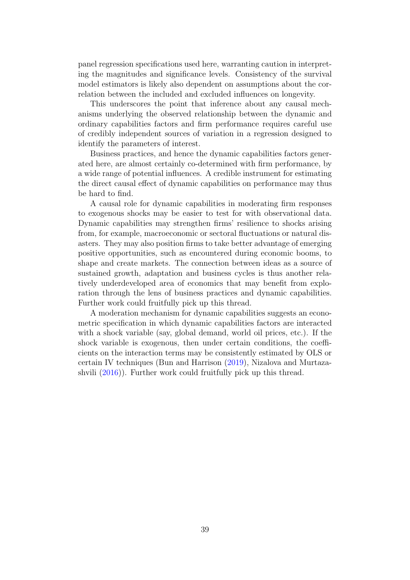panel regression specifications used here, warranting caution in interpreting the magnitudes and significance levels. Consistency of the survival model estimators is likely also dependent on assumptions about the correlation between the included and excluded influences on longevity.

This underscores the point that inference about any causal mechanisms underlying the observed relationship between the dynamic and ordinary capabilities factors and firm performance requires careful use of credibly independent sources of variation in a regression designed to identify the parameters of interest.

Business practices, and hence the dynamic capabilities factors generated here, are almost certainly co-determined with firm performance, by a wide range of potential influences. A credible instrument for estimating the direct causal effect of dynamic capabilities on performance may thus be hard to find.

A causal role for dynamic capabilities in moderating firm responses to exogenous shocks may be easier to test for with observational data. Dynamic capabilities may strengthen firms' resilience to shocks arising from, for example, macroeconomic or sectoral fluctuations or natural disasters. They may also position firms to take better advantage of emerging positive opportunities, such as encountered during economic booms, to shape and create markets. The connection between ideas as a source of sustained growth, adaptation and business cycles is thus another relatively underdeveloped area of economics that may benefit from exploration through the lens of business practices and dynamic capabilities. Further work could fruitfully pick up this thread.

<span id="page-39-0"></span>A moderation mechanism for dynamic capabilities suggests an econometric specification in which dynamic capabilities factors are interacted with a shock variable (say, global demand, world oil prices, etc.). If the shock variable is exogenous, then under certain conditions, the coefficients on the interaction terms may be consistently estimated by OLS or certain IV techniques (Bun and Harrison [\(2019\)](#page-44-18), Nizalova and Murtazashvili [\(2016\)](#page-45-16)). Further work could fruitfully pick up this thread.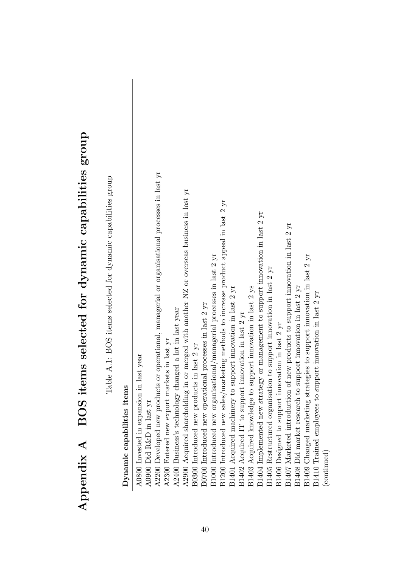| )<br>1                                                                                                     |
|------------------------------------------------------------------------------------------------------------|
| 1                                                                                                          |
| Ĭ.<br>ו<br> <br>                                                                                           |
| Created Down-Fried Class Created And Add Tour Class Deced<br> <br> <br> <br>$\ddot{\cdot}$ $\zeta$ $\zeta$ |
|                                                                                                            |
| ı                                                                                                          |
| こくらく くらく<br>l<br>)<br>I<br>I                                                                               |

Table A.1: BOS items selected for dynamic capabilities group Table A.1: BOS items selected for dynamic capabilities group

<span id="page-40-1"></span><span id="page-40-0"></span>Dynamic capabilities items Dynamic capabilities items

| A0800 Invested in expansion in last year                                                       |
|------------------------------------------------------------------------------------------------|
| A0900 Did R&D in last yr                                                                       |
| A2200 Developed new products or operational, managerial or organisational processes in last yr |
| A2300 Entered new export markets in last yr                                                    |
| A2400 Business's technology changed a lot in last year                                         |
| A2900 Acquired shareholding in or merged with another NZ or overseas business in last yr       |
| B0300 Introduced new products in last 2 yr                                                     |
| B0700 Introduced new operational processes in last 2 yr                                        |
| B1000 Introduced new organisational/managerial processes in last 2 yr                          |
| B1200 Introduced new sales/marketing methods to increase product appeal in last 2 yr           |
| B1401 Acquired machinery to support innovation in last 2 yr                                    |
| B1402 Acquired IT to support innovation in last 2 yr                                           |
| B1403 Acquired knowledge to support innovation in last 2 ys                                    |
| B1404 Implemented new strategy or management to support innovation in last 2 yr                |
| B1405 Restructured organisation to support innovation in last 2 yr                             |
| B1406 Designed to support innovation in last 2 yr                                              |
| B1407 Marketed introduction of new products to support innovation in last 2 yr                 |
| B1408 Did market research to support innovation in last 2 yr                                   |
| B1409 Changed marketing strategies to support innovation in last 2 yr                          |
| B1410 Trained employees to support innovation in last 2 yr                                     |
| (continued)                                                                                    |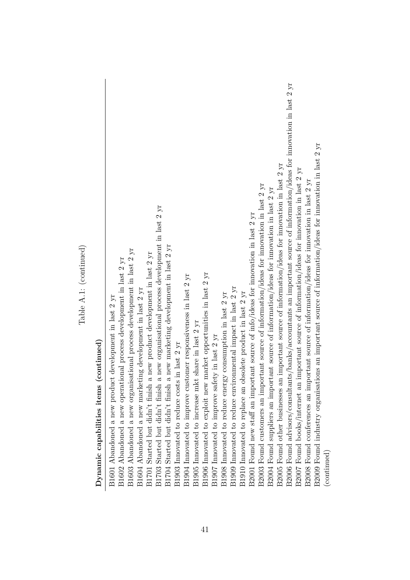| Dynamic capabilities items (continued)                                                                                  |
|-------------------------------------------------------------------------------------------------------------------------|
| B1601 Abandoned a new product development in last 2 yr                                                                  |
| Abandoned a new operational process development in last 2 yr<br>B1602                                                   |
| Abandoned a new organisational process development in last 2 yr<br>B1603                                                |
| B1604 Abandoned a new marketing development in last $2~\rm{yr}$                                                         |
| a new product development in last 2 yr<br>B1701 Started but didn't finish                                               |
| a new organisational process development in last 2 yr<br>B1703 Started but didn't finish                                |
| a new marketing development in last 2 yr<br>B1704 Started but didn't finish                                             |
| B1903 Innovated to reduce costs in last 2 yr                                                                            |
| B1904 Innovated to improve customer responsiveness in last 2 yr                                                         |
| B1905 Innovated to increase mkt share in last 2 yr                                                                      |
| B1906 Innovated to exploit new market opportunities in last 2 yr                                                        |
| B1907 Innovated to improve safety in last 2 yr                                                                          |
| B1908 Innovated to reduce energy consumption in last $2~\rm{yr}$                                                        |
| B1909 Innovated to reduce environmental impact in last 2 yr                                                             |
| obsolete product in last 2 yr<br>B1910 Innovated to replace an                                                          |
| B2001 Found new staff an important source of info/ideas for innovation in last 2 yr                                     |
| B2003 Found customers an important source of information/ideas for innovation in last 2 yr                              |
| B2004 Found suppliers an important source of information/ideas for innovation in last 2 yr                              |
| B2005 Found other businesses an important source of information/ideas for innovation in last 2 yr                       |
| B2006 Found advisors/consultants/banks/accountants an important source of information/ideas for innovation in last 2 yr |
| B2007 Found books/internet an important source of information/ideas for innovation in last 2 yr                         |
| B2008 Found conferences an important source of information/ideas for innovation in last 2 yr                            |
| B2009 Found industry organisations an important source of information/ideas for innovation in last 2 yr                 |
| (continued)                                                                                                             |

Table A.1: (continued) Table A.1: (continued)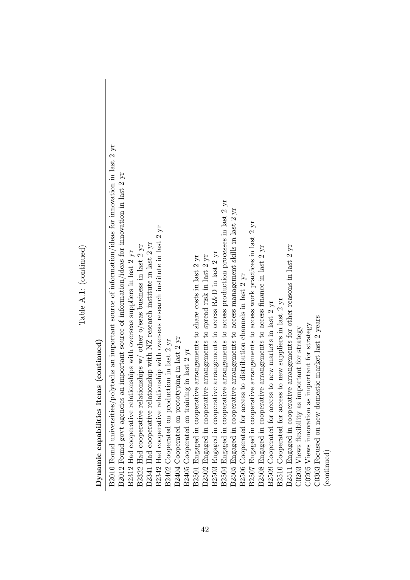| Dynamic capabilities items (continued)                                                                                                                                                                                        |
|-------------------------------------------------------------------------------------------------------------------------------------------------------------------------------------------------------------------------------|
| B2010 Found universities/polytechs an important source of information/ideas for innovation in last 2 yr<br>B2012 Found govt agencies an important source of information/ideas for innovation in last 2 yr                     |
| B2312 Had cooperative relationships with overseas suppliers in last 2 yr B2322 Had cooperative relationships w/ other o/seas business in last 2 yr B2341 Had cooperative relationship with NZ research institute in last 2 yr |
|                                                                                                                                                                                                                               |
|                                                                                                                                                                                                                               |
| B2402 Cooperated on production in last 2 yr                                                                                                                                                                                   |
| B2404 Cooperated on prototyping in last 2 yr                                                                                                                                                                                  |
| B2405 Cooperated on training in last 2 yr                                                                                                                                                                                     |
| in cooperative arrangements to share costs in last 2 yr<br>B2501 Engaged                                                                                                                                                      |
| in cooperative arrangements to spread risk in last 2 yr<br>B2502 Engaged                                                                                                                                                      |
| in cooperative arrangements to access R&D in last 2 yr<br>B2503 Engaged i<br>B2504 Engaged i                                                                                                                                  |
| in cooperative arrangements to access production processes in last 2 yr                                                                                                                                                       |
| in cooperative arrangements to access management skills in last 2 yr<br>B2505 Engaged                                                                                                                                         |
| B2506 Cooperated for access to distribution channels in last $2 ~\rm{yr}$                                                                                                                                                     |
| B2507 Engaged in cooperative arrangements to access work practices in last 2 yr                                                                                                                                               |
| B2508 Engaged in cooperative arrangements to access finance in last 2 yr                                                                                                                                                      |
| B2509 Cooperated for access to new markets in last 2 yr                                                                                                                                                                       |
| B2510 Cooperated for access to new suppliers in last 2 yr                                                                                                                                                                     |
| B2511 Engaged in cooperative arrangements for other reasons in last 2 yr                                                                                                                                                      |
| C0203 Views flexibility as important for strategy                                                                                                                                                                             |
| C0205 Views innovation as important for strategy                                                                                                                                                                              |
| on new domestic market last 2 years<br>C0303 Focused                                                                                                                                                                          |
| (continued)                                                                                                                                                                                                                   |

Table A.1: (continued) Table A.1: (continued)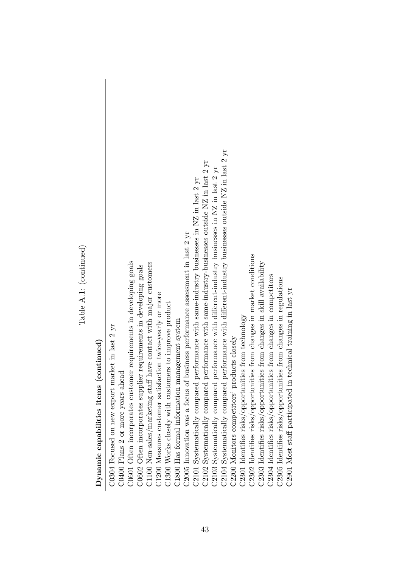Table A.1: (continued) Table A.1: (continued)

# $\label{eq:normalization} \textbf{Dynamic capabilities items (continued)}$ Dynamic capabilities items (continued)

| C0304 Focused on new export market in last 2 yr                                                           |
|-----------------------------------------------------------------------------------------------------------|
| C0400 Plans 2 or more years ahead                                                                         |
| C0601 Often incorporates customer requirements in developing goals                                        |
| C0602 Often incorporates supplier requirements in developing goals                                        |
| C1100 Non-sales/marketing staff have contact with major customers                                         |
| C1200 Measures customer satisfaction twice-yearly or more                                                 |
| C1300 Works closely with customers to improve product                                                     |
| C1800 Has formal information management system                                                            |
| C2005 Innovation was a focus of business performance assessment in last 2 yr                              |
| C2101 Systematically compared performance with same-industry businesses in NZ in last $2 \text{ yr}$      |
| C2102 Systematically compared performance with same-industry-businesses outside NZ in last $2 \text{ yr}$ |
| C2103 Systematically compared performance with different-industry businesses in NZ in last $2 \text{ yr}$ |
| C2104 Systematically compared performance with different-industry businesses outside NZ in last 2 yr      |
| C2200 Monitors competitors' products closely                                                              |
| C2301 Identifies risks/opportunities from technology                                                      |
| C2302 Identifies risks/opportunities from changes in market conditions                                    |
| C2303 Identifies risks/opportunities from changes in skill availability                                   |
| C2304 Identifies risks/opportunities from changes in competitors                                          |
| C2305 Identifies risks/opportunities from changes in regulations                                          |
| C2901 Most staff participated in technical training in last yr                                            |
|                                                                                                           |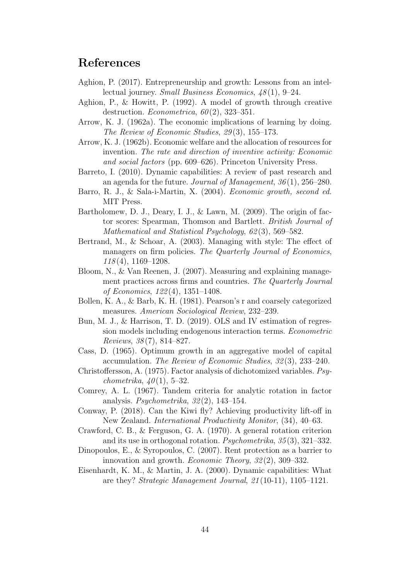# <span id="page-44-0"></span>References

- <span id="page-44-9"></span>Aghion, P. (2017). Entrepreneurship and growth: Lessons from an intellectual journey. Small Business Economics, 48 (1), 9–24.
- <span id="page-44-8"></span>Aghion, P., & Howitt, P. (1992). A model of growth through creative destruction. Econometrica,  $60(2)$ , 323-351.
- <span id="page-44-6"></span>Arrow, K. J. (1962a). The economic implications of learning by doing. The Review of Economic Studies, 29 (3), 155–173.
- <span id="page-44-1"></span>Arrow, K. J. (1962b). Economic welfare and the allocation of resources for invention. The rate and direction of inventive activity: Economic and social factors (pp. 609–626). Princeton University Press.
- <span id="page-44-4"></span>Barreto, I. (2010). Dynamic capabilities: A review of past research and an agenda for the future. Journal of Management, 36 (1), 256–280.
- <span id="page-44-10"></span>Barro, R. J., & Sala-i-Martin, X. (2004). Economic growth, second ed. MIT Press.
- <span id="page-44-17"></span>Bartholomew, D. J., Deary, I. J., & Lawn, M. (2009). The origin of factor scores: Spearman, Thomson and Bartlett. British Journal of Mathematical and Statistical Psychology, 62(3), 569–582.
- <span id="page-44-12"></span>Bertrand, M., & Schoar, A. (2003). Managing with style: The effect of managers on firm policies. The Quarterly Journal of Economics,  $118(4)$ ,  $1169-1208$ .
- <span id="page-44-11"></span>Bloom, N., & Van Reenen, J. (2007). Measuring and explaining management practices across firms and countries. The Quarterly Journal of Economics, 122 (4), 1351–1408.
- <span id="page-44-13"></span>Bollen, K. A., & Barb, K. H. (1981). Pearson's r and coarsely categorized measures. American Sociological Review, 232–239.
- <span id="page-44-18"></span>Bun, M. J., & Harrison, T. D. (2019). OLS and IV estimation of regression models including endogenous interaction terms. Econometric Reviews, 38 (7), 814–827.
- <span id="page-44-7"></span>Cass, D. (1965). Optimum growth in an aggregative model of capital accumulation. The Review of Economic Studies, 32 (3), 233–240.
- <span id="page-44-14"></span>Christoffersson, A. (1975). Factor analysis of dichotomized variables. Psychometrika,  $40(1)$ , 5–32.
- <span id="page-44-16"></span>Comrey, A. L. (1967). Tandem criteria for analytic rotation in factor analysis. *Psychometrika*,  $32(2)$ , 143–154.
- <span id="page-44-5"></span>Conway, P. (2018). Can the Kiwi fly? Achieving productivity lift-off in New Zealand. International Productivity Monitor, (34), 40–63.
- <span id="page-44-15"></span>Crawford, C. B., & Ferguson, G. A. (1970). A general rotation criterion and its use in orthogonal rotation. Psychometrika, 35 (3), 321–332.
- <span id="page-44-2"></span>Dinopoulos, E., & Syropoulos, C. (2007). Rent protection as a barrier to innovation and growth. Economic Theory, 32 (2), 309–332.
- <span id="page-44-3"></span>Eisenhardt, K. M., & Martin, J. A. (2000). Dynamic capabilities: What are they? Strategic Management Journal, 21 (10-11), 1105–1121.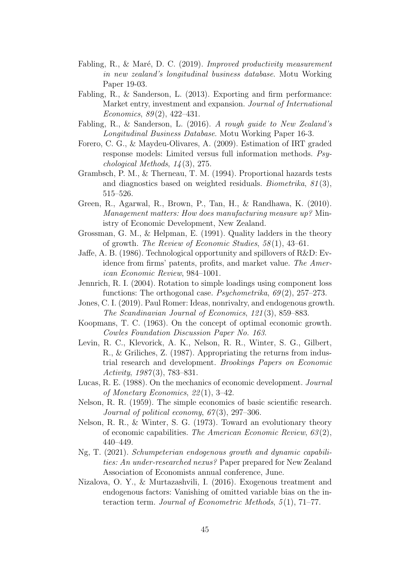- <span id="page-45-13"></span>Fabling, R., & Maré, D. C. (2019). Improved productivity measurement in new zealand's longitudinal business database. Motu Working Paper 19-03.
- <span id="page-45-15"></span>Fabling, R., & Sanderson, L. (2013). Exporting and firm performance: Market entry, investment and expansion. Journal of International Economics,  $89(2)$ ,  $422-431$ .
- <span id="page-45-12"></span>Fabling, R., & Sanderson, L. (2016). A rough guide to New Zealand's Longitudinal Business Database. Motu Working Paper 16-3.
- <span id="page-45-10"></span>Forero, C. G., & Maydeu-Olivares, A. (2009). Estimation of IRT graded response models: Limited versus full information methods. Psychological Methods, 14 (3), 275.
- <span id="page-45-14"></span>Grambsch, P. M., & Therneau, T. M. (1994). Proportional hazards tests and diagnostics based on weighted residuals. *Biometrika*,  $81(3)$ , 515–526.
- <span id="page-45-9"></span>Green, R., Agarwal, R., Brown, P., Tan, H., & Randhawa, K. (2010). Management matters: How does manufacturing measure up? Ministry of Economic Development, New Zealand.
- <span id="page-45-7"></span>Grossman, G. M., & Helpman, E. (1991). Quality ladders in the theory of growth. The Review of Economic Studies, 58 (1), 43–61.
- <span id="page-45-2"></span>Jaffe, A. B. (1986). Technological opportunity and spillovers of R&D: Evidence from firms' patents, profits, and market value. The American Economic Review, 984–1001.
- <span id="page-45-11"></span>Jennrich, R. I. (2004). Rotation to simple loadings using component loss functions: The orthogonal case. *Psychometrika*,  $69(2)$ ,  $257-273$ .
- <span id="page-45-4"></span>Jones, C. I. (2019). Paul Romer: Ideas, nonrivalry, and endogenous growth. The Scandinavian Journal of Economics, 121 (3), 859–883.
- <span id="page-45-6"></span>Koopmans, T. C. (1963). On the concept of optimal economic growth. Cowles Foundation Discussion Paper No. 163.
- <span id="page-45-1"></span>Levin, R. C., Klevorick, A. K., Nelson, R. R., Winter, S. G., Gilbert, R., & Griliches, Z. (1987). Appropriating the returns from industrial research and development. Brookings Papers on Economic Activity, 1987 (3), 783–831.
- <span id="page-45-5"></span>Lucas, R. E. (1988). On the mechanics of economic development. Journal of Monetary Economics, 22 (1), 3–42.
- <span id="page-45-0"></span>Nelson, R. R. (1959). The simple economics of basic scientific research. Journal of political economy,  $67(3)$ , 297-306.
- <span id="page-45-8"></span>Nelson, R. R., & Winter, S. G. (1973). Toward an evolutionary theory of economic capabilities. The American Economic Review, 63 (2), 440–449.
- <span id="page-45-3"></span>Ng, T. (2021). Schumpeterian endogenous growth and dynamic capabilities: An under-researched nexus? Paper prepared for New Zealand Association of Economists annual conference, June.
- <span id="page-45-16"></span>Nizalova, O. Y., & Murtazashvili, I. (2016). Exogenous treatment and endogenous factors: Vanishing of omitted variable bias on the interaction term. Journal of Econometric Methods, 5(1), 71–77.